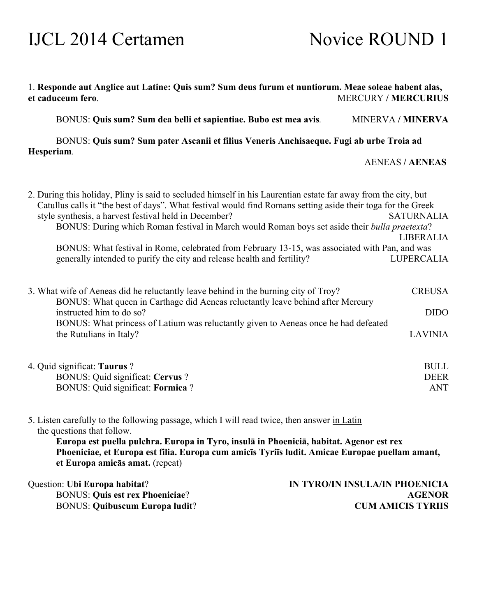## IJCL 2014 Certamen Novice ROUND 1

| 1. Responde aut Anglice aut Latine: Quis sum? Sum deus furum et nuntiorum. Meae soleae habent alas,<br>et caduceum fero.                                                                                                                                                                                                                                                                                                                                                                                                                                              | <b>MERCURY / MERCURIUS</b>                                                  |
|-----------------------------------------------------------------------------------------------------------------------------------------------------------------------------------------------------------------------------------------------------------------------------------------------------------------------------------------------------------------------------------------------------------------------------------------------------------------------------------------------------------------------------------------------------------------------|-----------------------------------------------------------------------------|
| BONUS: Quis sum? Sum dea belli et sapientiae. Bubo est mea avis.                                                                                                                                                                                                                                                                                                                                                                                                                                                                                                      | <b>MINERVA / MINERVA</b>                                                    |
| BONUS: Quis sum? Sum pater Ascanii et filius Veneris Anchisaeque. Fugi ab urbe Troia ad<br>Hesperiam.                                                                                                                                                                                                                                                                                                                                                                                                                                                                 |                                                                             |
|                                                                                                                                                                                                                                                                                                                                                                                                                                                                                                                                                                       | <b>AENEAS / AENEAS</b>                                                      |
| 2. During this holiday, Pliny is said to secluded himself in his Laurentian estate far away from the city, but<br>Catullus calls it "the best of days". What festival would find Romans setting aside their toga for the Greek<br>style synthesis, a harvest festival held in December?<br>BONUS: During which Roman festival in March would Roman boys set aside their bulla praetexta?<br>BONUS: What festival in Rome, celebrated from February 13-15, was associated with Pan, and was<br>generally intended to purify the city and release health and fertility? | <b>SATURNALIA</b><br>LIBERALIA<br><b>LUPERCALIA</b>                         |
| 3. What wife of Aeneas did he reluctantly leave behind in the burning city of Troy?<br>BONUS: What queen in Carthage did Aeneas reluctantly leave behind after Mercury<br>instructed him to do so?<br>BONUS: What princess of Latium was reluctantly given to Aeneas once he had defeated<br>the Rutulians in Italy?                                                                                                                                                                                                                                                  | <b>CREUSA</b><br><b>DIDO</b><br><b>LAVINIA</b>                              |
| 4. Quid significat: Taurus ?<br><b>BONUS: Quid significat: Cervus?</b><br>BONUS: Quid significat: Formica?                                                                                                                                                                                                                                                                                                                                                                                                                                                            | <b>BULL</b><br><b>DEER</b><br><b>ANT</b>                                    |
| 5. Listen carefully to the following passage, which I will read twice, then answer in Latin<br>the questions that follow.<br>Europa est puella pulchra. Europa in Tyro, insulā in Phoeniciā, habitat. Agenor est rex<br>Phoeniciae, et Europa est filia. Europa cum amicis Tyriis ludit. Amicae Europae puellam amant,<br>et Europa amicās amat. (repeat)                                                                                                                                                                                                             |                                                                             |
| Question: Ubi Europa habitat?<br><b>BONUS: Quis est rex Phoeniciae?</b><br><b>BONUS: Quibuscum Europa ludit?</b>                                                                                                                                                                                                                                                                                                                                                                                                                                                      | IN TYRO/IN INSULA/IN PHOENICIA<br><b>AGENOR</b><br><b>CUM AMICIS TYRIIS</b> |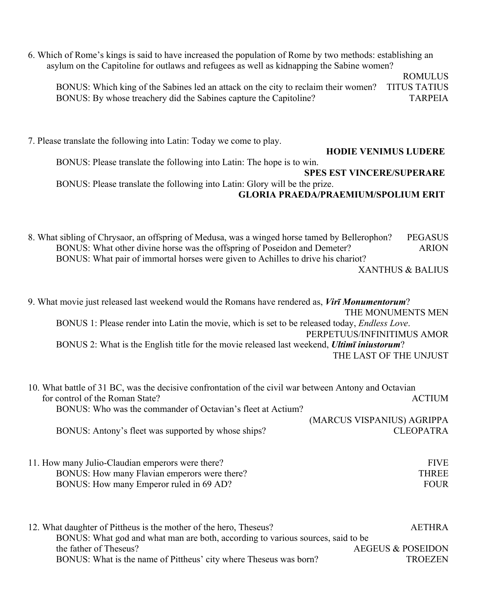6. Which of Rome's kings is said to have increased the population of Rome by two methods: establishing an asylum on the Capitoline for outlaws and refugees as well as kidnapping the Sabine women? ROMULUS BONUS: Which king of the Sabines led an attack on the city to reclaim their women? TITUS TATIUS BONUS: By whose treachery did the Sabines capture the Capitoline? TARPEIA

7. Please translate the following into Latin: Today we come to play.

#### **HODIE VENIMUS LUDERE**

BONUS: Please translate the following into Latin: The hope is to win.

**SPES EST VINCERE/SUPERARE**

BONUS: Please translate the following into Latin: Glory will be the prize. **GLORIA PRAEDA/PRAEMIUM/SPOLIUM ERIT**

8. What sibling of Chrysaor, an offspring of Medusa, was a winged horse tamed by Bellerophon? PEGASUS BONUS: What other divine horse was the offspring of Poseidon and Demeter? ARION BONUS: What pair of immortal horses were given to Achilles to drive his chariot?

XANTHUS & BALIUS

| 9. What movie just released last weekend would the Romans have rendered as, Virī Monumentorum?        | THE MONUMENTS MEN          |
|-------------------------------------------------------------------------------------------------------|----------------------------|
| BONUS 1: Please render into Latin the movie, which is set to be released today, <i>Endless Love</i> . | PERPETUUS/INFINITIMUS AMOR |
| BONUS 2: What is the English title for the movie released last weekend, <i>Ultimit iniustorum</i> ?   |                            |
|                                                                                                       | THE LAST OF THE UNJUST     |
|                                                                                                       |                            |
| 10. What battle of 31 BC, was the decisive confrontation of the civil war between Antony and Octavian |                            |
| for control of the Roman State?                                                                       | <b>ACTIUM</b>              |
| BONUS: Who was the commander of Octavian's fleet at Actium?                                           |                            |
|                                                                                                       | (MARCUS VISPANIUS) AGRIPPA |
| BONUS: Antony's fleet was supported by whose ships?                                                   | <b>CLEOPATRA</b>           |
|                                                                                                       |                            |
| 11. How many Julio-Claudian emperors were there?                                                      | <b>FIVE</b>                |
| BONUS: How many Flavian emperors were there?                                                          | <b>THREE</b>               |
| BONUS: How many Emperor ruled in 69 AD?                                                               | <b>FOUR</b>                |

| 12. What daughter of Pittheus is the mother of the hero, Theseus?               | <b>AETHRA</b>                |
|---------------------------------------------------------------------------------|------------------------------|
| BONUS: What god and what man are both, according to various sources, said to be |                              |
| the father of Theseus?                                                          | <b>AEGEUS &amp; POSEIDON</b> |
| BONUS: What is the name of Pittheus' city where Theseus was born?               | <b>TROEZEN</b>               |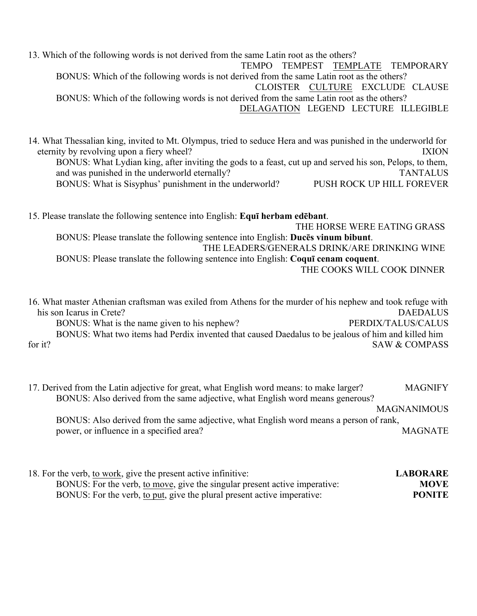13. Which of the following words is not derived from the same Latin root as the others? TEMPO TEMPEST TEMPLATE TEMPORARY BONUS: Which of the following words is not derived from the same Latin root as the others? CLOISTER CULTURE EXCLUDE CLAUSE BONUS: Which of the following words is not derived from the same Latin root as the others? DELAGATION LEGEND LECTURE ILLEGIBLE

14. What Thessalian king, invited to Mt. Olympus, tried to seduce Hera and was punished in the underworld for eternity by revolving upon a fiery wheel? IXION BONUS: What Lydian king, after inviting the gods to a feast, cut up and served his son, Pelops, to them, and was punished in the underworld eternally? TANTALUS BONUS: What is Sisyphus' punishment in the underworld? PUSH ROCK UP HILL FOREVER

15. Please translate the following sentence into English: **Equī herbam edēbant**. THE HORSE WERE EATING GRASS BONUS: Please translate the following sentence into English: **Ducēs vinum bibunt**. THE LEADERS/GENERALS DRINK/ARE DRINKING WINE BONUS: Please translate the following sentence into English: **Coquī cenam coquent**. THE COOKS WILL COOK DINNER

16. What master Athenian craftsman was exiled from Athens for the murder of his nephew and took refuge with his son Icarus in Crete? DAEDALUS BONUS: What is the name given to his nephew? PERDIX/TALUS/CALUS BONUS: What two items had Perdix invented that caused Daedalus to be jealous of him and killed him for it? SAW & COMPASS

17. Derived from the Latin adjective for great, what English word means: to make larger? MAGNIFY BONUS: Also derived from the same adjective, what English word means generous? MAGNANIMOUS BONUS: Also derived from the same adjective, what English word means a person of rank, power, or influence in a specified area? MAGNATE

18. For the verb, to work, give the present active infinitive: **LABORARE** BONUS: For the verb, to move, give the singular present active imperative: **MOVE** BONUS: For the verb, to put, give the plural present active imperative: **PONITE**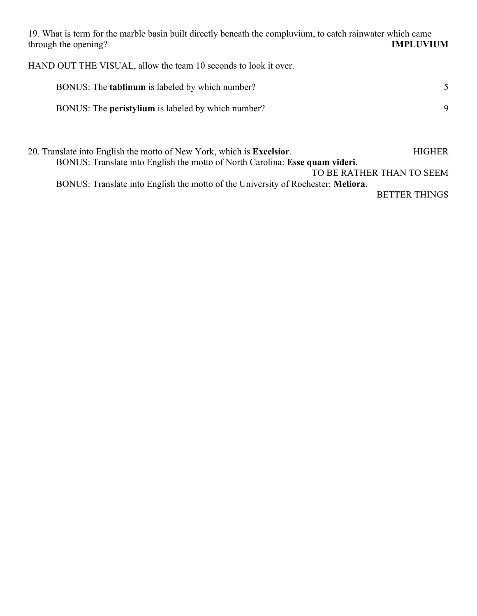19. What is term for the marble basin built directly beneath the compluvium, to catch rainwater which came through the opening? **IMPLUVIUM**

HAND OUT THE VISUAL, allow the team 10 seconds to look it over.

| BONUS: The <b>tablinum</b> is labeled by which number?    |    |
|-----------------------------------------------------------|----|
| BONUS: The <b>peristylium</b> is labeled by which number? | -9 |
|                                                           |    |

20. Translate into English the motto of New York, which is **Excelsior**. HIGHER BONUS: Translate into English the motto of North Carolina: **Esse quam videri**. TO BE RATHER THAN TO SEEM BONUS: Translate into English the motto of the University of Rochester: **Meliora**. BETTER THINGS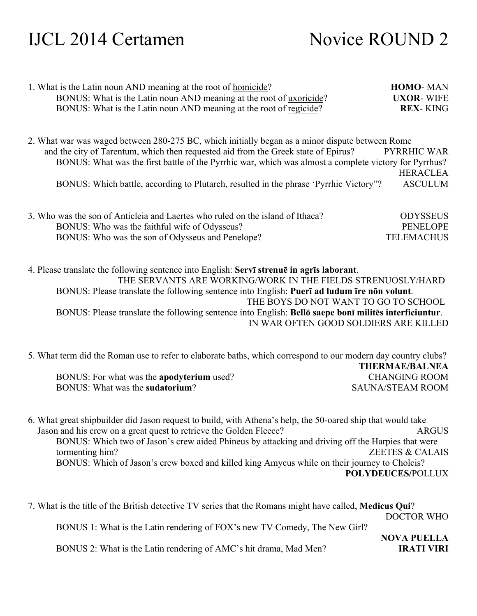## IJCL 2014 Certamen Novice ROUND 2

| BONUS: What is the Latin noun AND meaning at the root of uxoricide?<br><b>UXOR-WIFE</b><br>BONUS: What is the Latin noun AND meaning at the root of regicide?<br><b>REX-KING</b><br>2. What war was waged between 280-275 BC, which initially began as a minor dispute between Rome<br>and the city of Tarentum, which then requested aid from the Greek state of Epirus?<br><b>PYRRHIC WAR</b><br>BONUS: What was the first battle of the Pyrrhic war, which was almost a complete victory for Pyrrhus?<br><b>HERACLEA</b><br><b>ASCULUM</b><br>BONUS: Which battle, according to Plutarch, resulted in the phrase 'Pyrrhic Victory"?<br>3. Who was the son of Anticleia and Laertes who ruled on the island of Ithaca?<br><b>ODYSSEUS</b><br>BONUS: Who was the faithful wife of Odysseus?<br><b>PENELOPE</b><br>BONUS: Who was the son of Odysseus and Penelope?<br><b>TELEMACHUS</b><br>4. Please translate the following sentence into English: Servī strenuē in agrīs laborant.<br>THE SERVANTS ARE WORKING/WORK IN THE FIELDS STRENUOSLY/HARD<br>BONUS: Please translate the following sentence into English: Puerī ad ludum īre non volunt. |
|-----------------------------------------------------------------------------------------------------------------------------------------------------------------------------------------------------------------------------------------------------------------------------------------------------------------------------------------------------------------------------------------------------------------------------------------------------------------------------------------------------------------------------------------------------------------------------------------------------------------------------------------------------------------------------------------------------------------------------------------------------------------------------------------------------------------------------------------------------------------------------------------------------------------------------------------------------------------------------------------------------------------------------------------------------------------------------------------------------------------------------------------------------|
|                                                                                                                                                                                                                                                                                                                                                                                                                                                                                                                                                                                                                                                                                                                                                                                                                                                                                                                                                                                                                                                                                                                                                     |
|                                                                                                                                                                                                                                                                                                                                                                                                                                                                                                                                                                                                                                                                                                                                                                                                                                                                                                                                                                                                                                                                                                                                                     |
|                                                                                                                                                                                                                                                                                                                                                                                                                                                                                                                                                                                                                                                                                                                                                                                                                                                                                                                                                                                                                                                                                                                                                     |
|                                                                                                                                                                                                                                                                                                                                                                                                                                                                                                                                                                                                                                                                                                                                                                                                                                                                                                                                                                                                                                                                                                                                                     |
|                                                                                                                                                                                                                                                                                                                                                                                                                                                                                                                                                                                                                                                                                                                                                                                                                                                                                                                                                                                                                                                                                                                                                     |
|                                                                                                                                                                                                                                                                                                                                                                                                                                                                                                                                                                                                                                                                                                                                                                                                                                                                                                                                                                                                                                                                                                                                                     |
| THE BOYS DO NOT WANT TO GO TO SCHOOL<br>BONUS: Please translate the following sentence into English: Bellō saepe bonī militēs interficiuntur.<br>IN WAR OFTEN GOOD SOLDIERS ARE KILLED                                                                                                                                                                                                                                                                                                                                                                                                                                                                                                                                                                                                                                                                                                                                                                                                                                                                                                                                                              |
| 5. What term did the Roman use to refer to elaborate baths, which correspond to our modern day country clubs?<br><b>THERMAE/BALNEA</b>                                                                                                                                                                                                                                                                                                                                                                                                                                                                                                                                                                                                                                                                                                                                                                                                                                                                                                                                                                                                              |
| BONUS: For what was the apodyterium used?<br><b>CHANGING ROOM</b><br>BONUS: What was the sudatorium?<br><b>SAUNA/STEAM ROOM</b>                                                                                                                                                                                                                                                                                                                                                                                                                                                                                                                                                                                                                                                                                                                                                                                                                                                                                                                                                                                                                     |
| 6. What great shipbuilder did Jason request to build, with Athena's help, the 50-oared ship that would take<br>Jason and his crew on a great quest to retrieve the Golden Fleece?<br><b>ARGUS</b><br>BONUS: Which two of Jason's crew aided Phineus by attacking and driving off the Harpies that were<br>tormenting him?<br><b>ZEETES &amp; CALAIS</b><br>BONUS: Which of Jason's crew boxed and killed king Amycus while on their journey to Cholcis?<br><b>POLYDEUCES/POLLUX</b>                                                                                                                                                                                                                                                                                                                                                                                                                                                                                                                                                                                                                                                                 |
| 7. What is the title of the British detective TV series that the Romans might have called, Medicus Qui?<br>DOCTOR WHO                                                                                                                                                                                                                                                                                                                                                                                                                                                                                                                                                                                                                                                                                                                                                                                                                                                                                                                                                                                                                               |

BONUS 1: What is the Latin rendering of FOX's new TV Comedy, The New Girl?

BONUS 2: What is the Latin rendering of AMC's hit drama, Mad Men? **IRATI VIRI**

**NOVA PUELLA**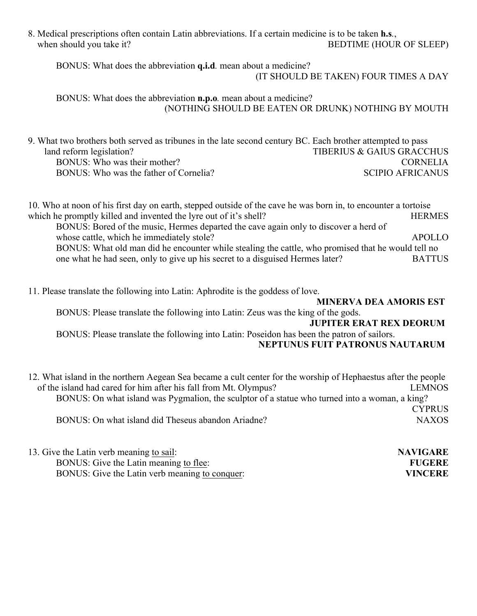8. Medical prescriptions often contain Latin abbreviations. If a certain medicine is to be taken **h.s***.*, when should you take it? BEDTIME (HOUR OF SLEEP)

BONUS: What does the abbreviation **q.i.d***.* mean about a medicine? (IT SHOULD BE TAKEN) FOUR TIMES A DAY

BONUS: What does the abbreviation **n.p.o***.* mean about a medicine? (NOTHING SHOULD BE EATEN OR DRUNK) NOTHING BY MOUTH

9. What two brothers both served as tribunes in the late second century BC. Each brother attempted to pass land reform legislation? TIBERIUS & GAIUS GRACCHUS BONUS: Who was their mother? CORNELIA BONUS: Who was the father of Cornelia? SCIPIO AFRICANUS

10. Who at noon of his first day on earth, stepped outside of the cave he was born in, to encounter a tortoise which he promptly killed and invented the lyre out of it's shell? HERMES BONUS: Bored of the music, Hermes departed the cave again only to discover a herd of whose cattle, which he immediately stole? APOLLO BONUS: What old man did he encounter while stealing the cattle, who promised that he would tell no one what he had seen, only to give up his secret to a disguised Hermes later? BATTUS

11. Please translate the following into Latin: Aphrodite is the goddess of love.

**MINERVA DEA AMORIS EST** BONUS: Please translate the following into Latin: Zeus was the king of the gods. **JUPITER ERAT REX DEORUM** BONUS: Please translate the following into Latin: Poseidon has been the patron of sailors. **NEPTUNUS FUIT PATRONUS NAUTARUM**

12. What island in the northern Aegean Sea became a cult center for the worship of Hephaestus after the people of the island had cared for him after his fall from Mt. Olympus? LEMNOS BONUS: On what island was Pygmalion, the sculptor of a statue who turned into a woman, a king? CYPRUS BONUS: On what island did Theseus abandon Ariadne? NAXOS

13. Give the Latin verb meaning to sail: **NAVIGARE** BONUS: Give the Latin meaning to flee: **FUGERE** BONUS: Give the Latin verb meaning to conquer: **VINCERE**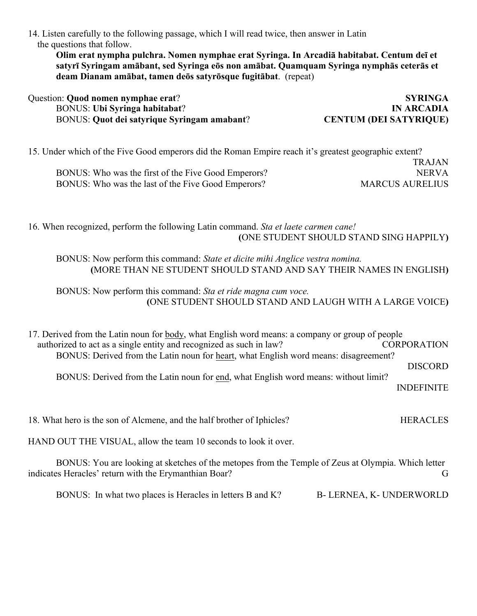14. Listen carefully to the following passage, which I will read twice, then answer in Latin the questions that follow.

**Olim erat nympha pulchra. Nomen nymphae erat Syringa. In Arcadiā habitabat. Centum deī et satyrī Syringam amābant, sed Syringa eōs non amābat. Quamquam Syringa nymphās ceterās et deam Dianam amābat, tamen deōs satyrōsque fugitābat**. (repeat)

| Question: Quod nomen nymphae erat?                 | <b>SYRINGA</b>                |
|----------------------------------------------------|-------------------------------|
| <b>BONUS: Ubi Syringa habitabat?</b>               | <b>IN ARCADIA</b>             |
| <b>BONUS: Quot dei satyrique Syringam amabant?</b> | <b>CENTUM (DEI SATYRIQUE)</b> |

15. Under which of the Five Good emperors did the Roman Empire reach it's greatest geographic extent? TRAJAN BONUS: Who was the first of the Five Good Emperors? NERVA BONUS: Who was the last of the Five Good Emperors? MARCUS AURELIUS

16. When recognized, perform the following Latin command. *Sta et laete carmen cane!* **(**ONE STUDENT SHOULD STAND SING HAPPILY**)**

BONUS: Now perform this command: *State et dicite mihi Anglice vestra nomina.* **(**MORE THAN NE STUDENT SHOULD STAND AND SAY THEIR NAMES IN ENGLISH**)**

BONUS: Now perform this command: *Sta et ride magna cum voce.* **(**ONE STUDENT SHOULD STAND AND LAUGH WITH A LARGE VOICE**)**

| 17. Derived from the Latin noun for body, what English word means: a company or group of people    |                               |
|----------------------------------------------------------------------------------------------------|-------------------------------|
| authorized to act as a single entity and recognized as such in law?                                | <b>CORPORATION</b>            |
| BONUS: Derived from the Latin noun for heart, what English word means: disagreement?               |                               |
|                                                                                                    | <b>DISCORD</b>                |
| BONUS: Derived from the Latin noun for end, what English word means: without limit?                |                               |
|                                                                                                    | <b>INDEFINITE</b>             |
|                                                                                                    |                               |
|                                                                                                    |                               |
| 18. What hero is the son of Alcmene, and the half brother of Iphicles?                             | <b>HERACLES</b>               |
|                                                                                                    |                               |
| HAND OUT THE VISUAL, allow the team 10 seconds to look it over.                                    |                               |
|                                                                                                    |                               |
| BONUS: You are looking at sketches of the metopes from the Temple of Zeus at Olympia. Which letter |                               |
| indicates Heracles' return with the Erymanthian Boar?                                              | G                             |
|                                                                                                    |                               |
| BONUS: In what two places is Heracles in letters B and K?                                          | <b>B-LERNEA, K-UNDERWORLD</b> |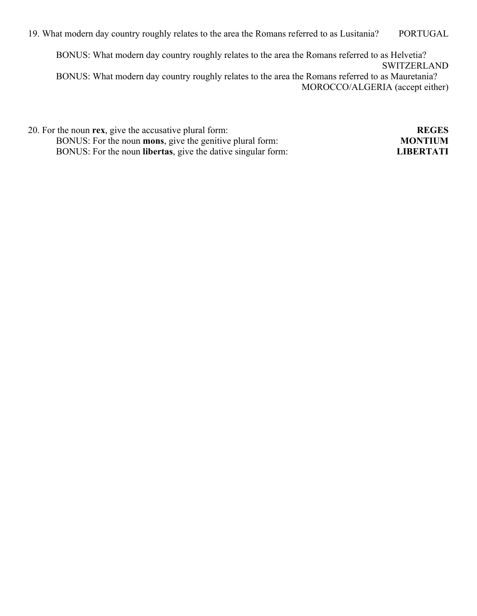19. What modern day country roughly relates to the area the Romans referred to as Lusitania? PORTUGAL

BONUS: What modern day country roughly relates to the area the Romans referred to as Helvetia? **SWITZERLAND** BONUS: What modern day country roughly relates to the area the Romans referred to as Mauretania? MOROCCO/ALGERIA (accept either)

20. For the noun **rex**, give the accusative plural form: **REGES** BONUS: For the noun **mons**, give the genitive plural form: **MONTIUM** BONUS: For the noun **libertas**, give the dative singular form: **LIBERTATI**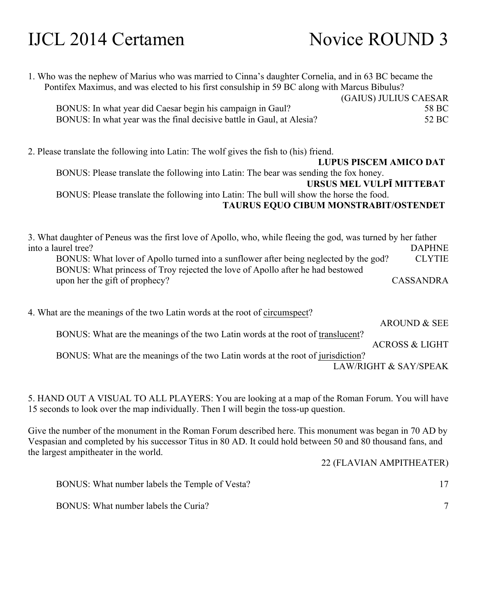## IJCL 2014 Certamen Novice ROUND 3

| 1. Who was the nephew of Marius who was married to Cinna's daughter Cornelia, and in 63 BC became the<br>Pontifex Maximus, and was elected to his first consulship in 59 BC along with Marcus Bibulus?<br>(GAIUS) JULIUS CAESAR<br>BONUS: In what year did Caesar begin his campaign in Gaul?<br>58 BC<br>52 BC<br>BONUS: In what year was the final decisive battle in Gaul, at Alesia?                          |
|-------------------------------------------------------------------------------------------------------------------------------------------------------------------------------------------------------------------------------------------------------------------------------------------------------------------------------------------------------------------------------------------------------------------|
| 2. Please translate the following into Latin: The wolf gives the fish to (his) friend.<br><b>LUPUS PISCEM AMICO DAT</b><br>BONUS: Please translate the following into Latin: The bear was sending the fox honey.<br>URSUS MEL VULPĪ MITTEBAT<br>BONUS: Please translate the following into Latin: The bull will show the horse the food.<br>TAURUS EQUO CIBUM MONSTRABIT/OSTENDET                                 |
| 3. What daughter of Peneus was the first love of Apollo, who, while fleeing the god, was turned by her father<br>into a laurel tree?<br><b>DAPHNE</b><br>BONUS: What lover of Apollo turned into a sunflower after being neglected by the god?<br><b>CLYTIE</b><br>BONUS: What princess of Troy rejected the love of Apollo after he had bestowed<br><b>CASSANDRA</b><br>upon her the gift of prophecy?           |
| 4. What are the meanings of the two Latin words at the root of circumspect?<br><b>AROUND &amp; SEE</b><br>BONUS: What are the meanings of the two Latin words at the root of translucent?<br><b>ACROSS &amp; LIGHT</b><br>BONUS: What are the meanings of the two Latin words at the root of jurisdiction?<br><b>LAW/RIGHT &amp; SAY/SPEAK</b>                                                                    |
| 5. HAND OUT A VISUAL TO ALL PLAYERS: You are looking at a map of the Roman Forum. You will have<br>15 seconds to look over the map individually. Then I will begin the toss-up question.<br>Give the number of the monument in the Roman Forum described here. This monument was began in 70 AD by<br>Vespasian and completed by his successor Titus in 80 AD. It could hold between 50 and 80 thousand fans, and |

the largest ampitheater in the world.

22 (FLAVIAN AMPITHEATER)

BONUS: What number labels the Temple of Vesta? 17

BONUS: What number labels the Curia? 7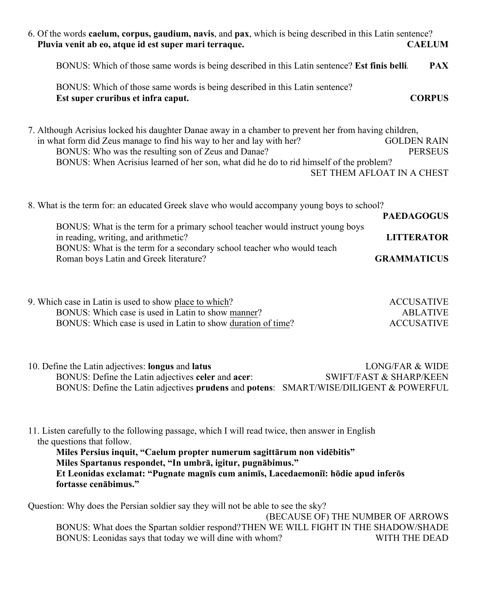| 6. Of the words <b>caelum, corpus, gaudium, navis</b> , and <b>pax</b> , which is being described in this Latin sentence?<br>Pluvia venit ab eo, atque id est super mari terraque.                                                                                                                                                       | <b>CAELUM</b>                                                             |
|------------------------------------------------------------------------------------------------------------------------------------------------------------------------------------------------------------------------------------------------------------------------------------------------------------------------------------------|---------------------------------------------------------------------------|
| BONUS: Which of those same words is being described in this Latin sentence? Est finis belli.                                                                                                                                                                                                                                             | <b>PAX</b>                                                                |
| BONUS: Which of those same words is being described in this Latin sentence?<br>Est super cruribus et infra caput.                                                                                                                                                                                                                        | <b>CORPUS</b>                                                             |
| 7. Although Acrisius locked his daughter Danae away in a chamber to prevent her from having children,<br>in what form did Zeus manage to find his way to her and lay with her?<br>BONUS: Who was the resulting son of Zeus and Danae?<br>BONUS: When Acrisius learned of her son, what did he do to rid himself of the problem?          | <b>GOLDEN RAIN</b><br><b>PERSEUS</b><br><b>SET THEM AFLOAT IN A CHEST</b> |
| 8. What is the term for: an educated Greek slave who would accompany young boys to school?<br>BONUS: What is the term for a primary school teacher would instruct young boys<br>in reading, writing, and arithmetic?<br>BONUS: What is the term for a secondary school teacher who would teach<br>Roman boys Latin and Greek literature? | <b>PAEDAGOGUS</b><br><b>LITTERATOR</b><br><b>GRAMMATICUS</b>              |

| 9. Which case in Latin is used to show place to which?       | <b>ACCUSATIVE</b> |
|--------------------------------------------------------------|-------------------|
| BONUS: Which case is used in Latin to show manner?           | <b>ABLATIVE</b>   |
| BONUS: Which case is used in Latin to show duration of time? | <b>ACCUSATIVE</b> |

| 10. Define the Latin adjectives: <b>longus</b> and <b>latus</b>                                      | <b>LONG/FAR &amp; WIDE</b>         |
|------------------------------------------------------------------------------------------------------|------------------------------------|
| BONUS: Define the Latin adjectives celer and acer:                                                   | <b>SWIFT/FAST &amp; SHARP/KEEN</b> |
| BONUS: Define the Latin adjectives <b>prudens</b> and <b>potens</b> : SMART/WISE/DILIGENT & POWERFUL |                                    |

11. Listen carefully to the following passage, which I will read twice, then answer in English the questions that follow.

**Miles Persius inquit, "Caelum propter numerum sagittārum non vidēbitis" Miles Spartanus respondet, "In umbrā, igitur, pugnābimus." Et Leonidas exclamat: "Pugnate magnīs cum animīs, Lacedaemoniī: hōdie apud inferōs fortasse cenābimus."**

Question: Why does the Persian soldier say they will not be able to see the sky?

(BECAUSE OF) THE NUMBER OF ARROWS BONUS: What does the Spartan soldier respond?THEN WE WILL FIGHT IN THE SHADOW/SHADE BONUS: Leonidas says that today we will dine with whom? WITH THE DEAD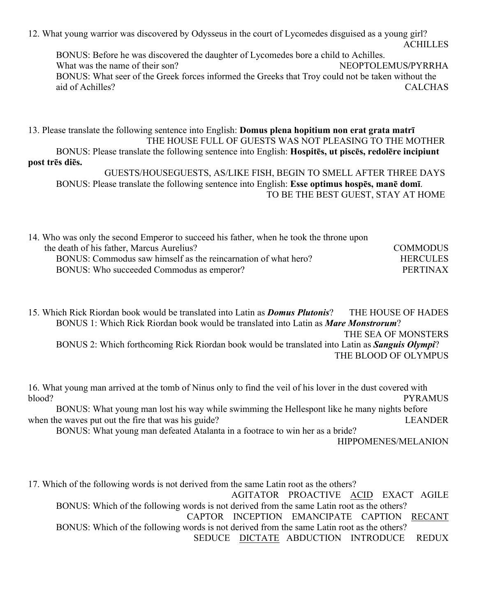12. What young warrior was discovered by Odysseus in the court of Lycomedes disguised as a young girl? ACHILLES

BONUS: Before he was discovered the daughter of Lycomedes bore a child to Achilles. What was the name of their son? NEOPTOLEMUS**/**PYRRHA BONUS: What seer of the Greek forces informed the Greeks that Troy could not be taken without the aid of Achilles? CALCHAS

13. Please translate the following sentence into English: **Domus plena hopitium non erat grata matrī** THE HOUSE FULL OF GUESTS WAS NOT PLEASING TO THE MOTHER BONUS: Please translate the following sentence into English: **Hospitēs, ut piscēs, redolēre incipiunt post trēs diēs.**

GUESTS/HOUSEGUESTS, AS/LIKE FISH, BEGIN TO SMELL AFTER THREE DAYS BONUS: Please translate the following sentence into English: **Esse optimus hospēs, manē domī**. TO BE THE BEST GUEST, STAY AT HOME

| 14. Who was only the second Emperor to succeed his father, when he took the throne upon |                 |
|-----------------------------------------------------------------------------------------|-----------------|
| the death of his father, Marcus Aurelius?                                               | <b>COMMODUS</b> |
| BONUS: Commodus saw himself as the reincarnation of what hero?                          | <b>HERCULES</b> |
| BONUS: Who succeeded Commodus as emperor?                                               | <b>PERTINAX</b> |

15. Which Rick Riordan book would be translated into Latin as *Domus Plutonis*? THE HOUSE OF HADES BONUS 1: Which Rick Riordan book would be translated into Latin as *Mare Monstrorum*? THE SEA OF MONSTERS BONUS 2: Which forthcoming Rick Riordan book would be translated into Latin as *Sanguis Olympi*? THE BLOOD OF OLYMPUS

16. What young man arrived at the tomb of Ninus only to find the veil of his lover in the dust covered with blood? PYRAMUS

BONUS: What young man lost his way while swimming the Hellespont like he many nights before when the waves put out the fire that was his guide? LEANDER

BONUS: What young man defeated Atalanta in a footrace to win her as a bride?

HIPPOMENES/MELANION

17. Which of the following words is not derived from the same Latin root as the others? AGITATOR PROACTIVE ACID EXACT AGILE BONUS: Which of the following words is not derived from the same Latin root as the others? CAPTOR INCEPTION EMANCIPATE CAPTION RECANT BONUS: Which of the following words is not derived from the same Latin root as the others? SEDUCE DICTATE ABDUCTION INTRODUCE REDUX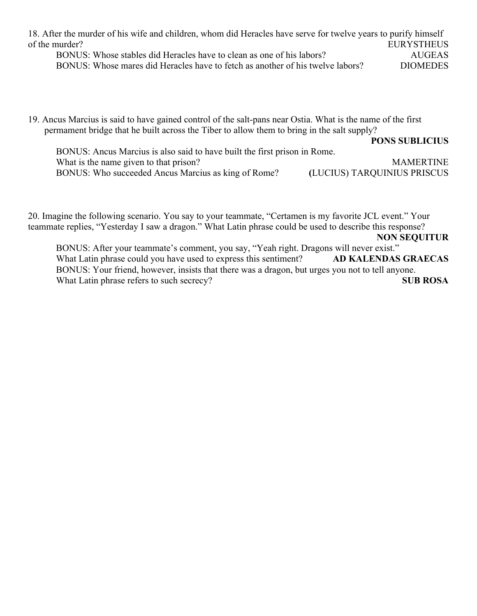18. After the murder of his wife and children, whom did Heracles have serve for twelve years to purify himself of the murder? EURYSTHEUS BONUS: Whose stables did Heracles have to clean as one of his labors? AUGEAS BONUS: Whose mares did Heracles have to fetch as another of his twelve labors? DIOMEDES

19. Ancus Marcius is said to have gained control of the salt-pans near Ostia. What is the name of the first permament bridge that he built across the Tiber to allow them to bring in the salt supply?

**PONS SUBLICIUS**

BONUS: Ancus Marcius is also said to have built the first prison in Rome. What is the name given to that prison? MAMERTINE BONUS: Who succeeded Ancus Marcius as king of Rome? **(**LUCIUS) TARQUINIUS PRISCUS

20. Imagine the following scenario. You say to your teammate, "Certamen is my favorite JCL event." Your teammate replies, "Yesterday I saw a dragon." What Latin phrase could be used to describe this response?

**NON SEQUITUR**

BONUS: After your teammate's comment, you say, "Yeah right. Dragons will never exist." What Latin phrase could you have used to express this sentiment? **AD KALENDAS GRAECAS** BONUS: Your friend, however, insists that there was a dragon, but urges you not to tell anyone. What Latin phrase refers to such secrecy? **SUB ROSA**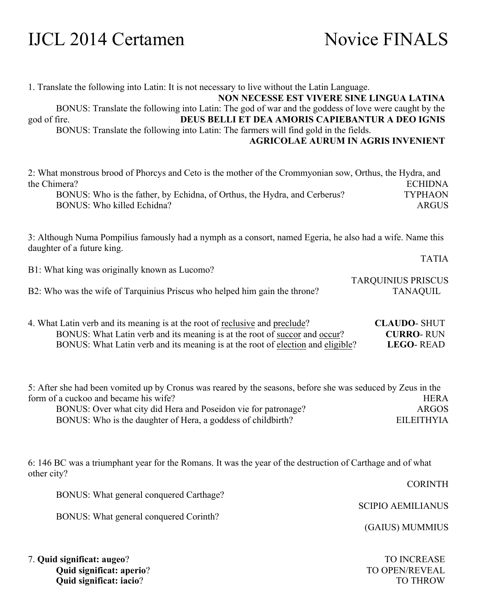## IJCL 2014 Certamen Novice FINALS

| 7. Quid significat: augeo?<br>Quid significat: aperio?                                                                                                                                                                                                                                                                                                                                                                                                       | <b>TO INCREASE</b><br>TO OPEN/REVEAL                       |
|--------------------------------------------------------------------------------------------------------------------------------------------------------------------------------------------------------------------------------------------------------------------------------------------------------------------------------------------------------------------------------------------------------------------------------------------------------------|------------------------------------------------------------|
| BONUS: What general conquered Corinth?                                                                                                                                                                                                                                                                                                                                                                                                                       | (GAIUS) MUMMIUS                                            |
|                                                                                                                                                                                                                                                                                                                                                                                                                                                              | <b>SCIPIO AEMILIANUS</b>                                   |
| BONUS: What general conquered Carthage?                                                                                                                                                                                                                                                                                                                                                                                                                      | <b>CORINTH</b>                                             |
| 6: 146 BC was a triumphant year for the Romans. It was the year of the destruction of Carthage and of what<br>other city?                                                                                                                                                                                                                                                                                                                                    |                                                            |
| 5: After she had been vomited up by Cronus was reared by the seasons, before she was seduced by Zeus in the<br>form of a cuckoo and became his wife?<br>BONUS: Over what city did Hera and Poseidon vie for patronage?<br>BONUS: Who is the daughter of Hera, a goddess of childbirth?                                                                                                                                                                       | <b>HERA</b><br><b>ARGOS</b><br><b>EILEITHYIA</b>           |
| 4. What Latin verb and its meaning is at the root of reclusive and preclude?<br>BONUS: What Latin verb and its meaning is at the root of succor and occur?<br>BONUS: What Latin verb and its meaning is at the root of election and eligible?                                                                                                                                                                                                                | <b>CLAUDO-SHUT</b><br><b>CURRO-RUN</b><br><b>LEGO-READ</b> |
| B2: Who was the wife of Tarquinius Priscus who helped him gain the throne?                                                                                                                                                                                                                                                                                                                                                                                   | <b>TARQUINIUS PRISCUS</b><br><b>TANAQUIL</b>               |
| B1: What king was originally known as Lucomo?                                                                                                                                                                                                                                                                                                                                                                                                                | <b>TATIA</b>                                               |
| 3: Although Numa Pompilius famously had a nymph as a consort, named Egeria, he also had a wife. Name this<br>daughter of a future king.                                                                                                                                                                                                                                                                                                                      |                                                            |
| 2: What monstrous brood of Phorcys and Ceto is the mother of the Crommyonian sow, Orthus, the Hydra, and<br>the Chimera?<br>BONUS: Who is the father, by Echidna, of Orthus, the Hydra, and Cerberus?<br>BONUS: Who killed Echidna?                                                                                                                                                                                                                          | <b>ECHIDNA</b><br><b>TYPHAON</b><br><b>ARGUS</b>           |
| 1. Translate the following into Latin: It is not necessary to live without the Latin Language.<br>NON NECESSE EST VIVERE SINE LINGUA LATINA<br>BONUS: Translate the following into Latin: The god of war and the goddess of love were caught by the<br>DEUS BELLI ET DEA AMORIS CAPIEBANTUR A DEO IGNIS<br>god of fire.<br>BONUS: Translate the following into Latin: The farmers will find gold in the fields.<br><b>AGRICOLAE AURUM IN AGRIS INVENIENT</b> |                                                            |

**Quid significat: iacio**? TO THROW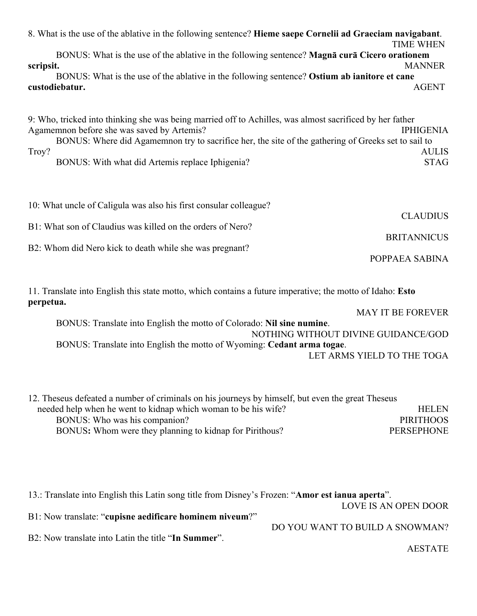8. What is the use of the ablative in the following sentence? **Hieme saepe Cornelii ad Graeciam navigabant**. TIME WHEN BONUS: What is the use of the ablative in the following sentence? **Magnā curā Cicero orationem scripsit.** MANNER BONUS: What is the use of the ablative in the following sentence? **Ostium ab ianitore et cane custodiebatur.** AGENT

9: Who, tricked into thinking she was being married off to Achilles, was almost sacrificed by her father Agamemnon before she was saved by Artemis? IPHIGENIA BONUS: Where did Agamemnon try to sacrifice her, the site of the gathering of Greeks set to sail to Troy? AULIS BONUS: With what did Artemis replace Iphigenia? STAG

10: What uncle of Caligula was also his first consular colleague? **CLAUDIUS** B1: What son of Claudius was killed on the orders of Nero? **BRITANNICUS** B2: Whom did Nero kick to death while she was pregnant? POPPAEA SABINA

11. Translate into English this state motto, which contains a future imperative; the motto of Idaho: **Esto perpetua.**

MAY IT BE FOREVER

BONUS: Translate into English the motto of Colorado: **Nil sine numine**. NOTHING WITHOUT DIVINE GUIDANCE/GOD BONUS: Translate into English the motto of Wyoming: **Cedant arma togae**. LET ARMS YIELD TO THE TOGA

| 12. These us defeated a number of criminals on his journeys by himself, but even the great These us |                   |
|-----------------------------------------------------------------------------------------------------|-------------------|
| needed help when he went to kidnap which woman to be his wife?                                      | <b>HELEN</b>      |
| BONUS: Who was his companion?                                                                       | <b>PIRITHOOS</b>  |
| BONUS: Whom were they planning to kidnap for Pirithous?                                             | <b>PERSEPHONE</b> |

13.: Translate into English this Latin song title from Disney's Frozen: "**Amor est ianua aperta**".

LOVE IS AN OPEN DOOR

B1: Now translate: "**cupisne aedificare hominem niveum**?"

DO YOU WANT TO BUILD A SNOWMAN?

B2: Now translate into Latin the title "**In Summer**".

AESTATE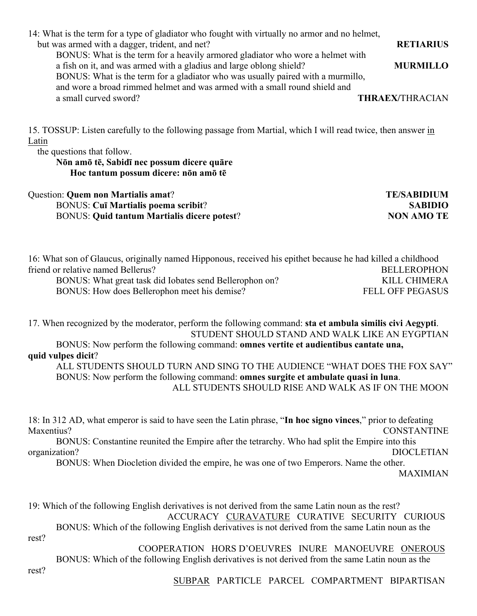14: What is the term for a type of gladiator who fought with virtually no armor and no helmet, but was armed with a dagger, trident, and net? **RETIARIUS** BONUS: What is the term for a heavily armored gladiator who wore a helmet with a fish on it, and was armed with a gladius and large oblong shield? **MURMILLO** BONUS: What is the term for a gladiator who was usually paired with a murmillo, and wore a broad rimmed helmet and was armed with a small round shield and a small curved sword? **THRAEX/**THRACIAN

15. TOSSUP: Listen carefully to the following passage from Martial, which I will read twice, then answer in Latin

the questions that follow.

#### **Nōn amō tē, Sabidī nec possum dicere quāre Hoc tantum possum dicere: nōn amō tē**

| <b>Question: Quem non Martialis amat?</b>          | <b>TE/SABIDIUM</b> |
|----------------------------------------------------|--------------------|
| <b>BONUS: Cui Martialis poema scribit?</b>         | <b>SABIDIO</b>     |
| <b>BONUS: Quid tantum Martialis dicere potest?</b> | <b>NON AMO TE</b>  |

16: What son of Glaucus, originally named Hipponous, received his epithet because he had killed a childhood friend or relative named Bellerus? BELLEROPHON BONUS: What great task did Iobates send Bellerophon on? KILL CHIMERA BONUS: How does Bellerophon meet his demise? FELL OFF PEGASUS

17. When recognized by the moderator, perform the following command: **sta et ambula similis civi Aegypti**. STUDENT SHOULD STAND AND WALK LIKE AN EYGPTIAN BONUS: Now perform the following command: **omnes vertite et audientibus cantate una,** 

### **quid vulpes dicit**?

ALL STUDENTS SHOULD TURN AND SING TO THE AUDIENCE "WHAT DOES THE FOX SAY" BONUS: Now perform the following command: **omnes surgite et ambulate quasi in luna**. ALL STUDENTS SHOULD RISE AND WALK AS IF ON THE MOON

18: In 312 AD, what emperor is said to have seen the Latin phrase, "**In hoc signo vinces**," prior to defeating Maxentius? CONSTANTINE BONUS: Constantine reunited the Empire after the tetrarchy. Who had split the Empire into this organization? DIOCLETIAN BONUS: When Diocletion divided the empire, he was one of two Emperors. Name the other. MAXIMIAN

19: Which of the following English derivatives is not derived from the same Latin noun as the rest? ACCURACY CURAVATURE CURATIVE SECURITY CURIOUS BONUS: Which of the following English derivatives is not derived from the same Latin noun as the rest?

COOPERATION HORS D'OEUVRES INURE MANOEUVRE ONEROUS BONUS: Which of the following English derivatives is not derived from the same Latin noun as the

SUBPAR PARTICLE PARCEL COMPARTMENT BIPARTISAN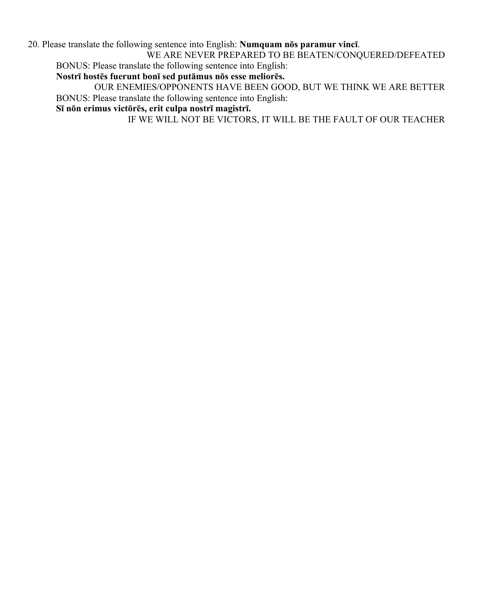20. Please translate the following sentence into English: **Numquam nōs paramur vincī**.

WE ARE NEVER PREPARED TO BE BEATEN/CONQUERED/DEFEATED BONUS: Please translate the following sentence into English:

**Nostrī hostēs fuerunt bonī sed putāmus nōs esse meliorēs.**

OUR ENEMIES/OPPONENTS HAVE BEEN GOOD, BUT WE THINK WE ARE BETTER BONUS: Please translate the following sentence into English:

**Sī nōn erimus victōrēs, erit culpa nostrī magistrī.**

IF WE WILL NOT BE VICTORS, IT WILL BE THE FAULT OF OUR TEACHER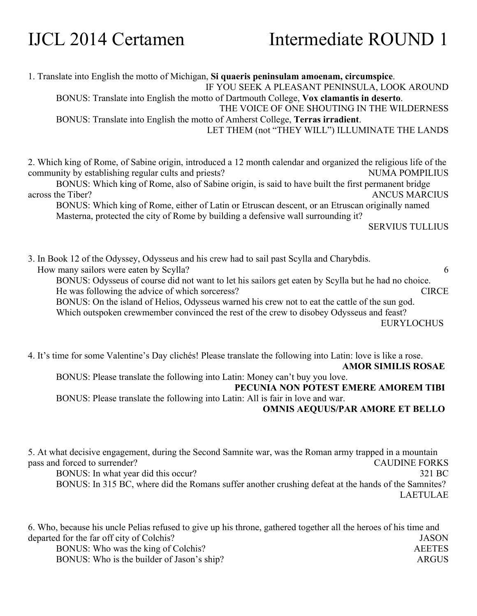## IJCL 2014 Certamen Intermediate ROUND 1

1. Translate into English the motto of Michigan, **Si quaeris peninsulam amoenam, circumspice**. IF YOU SEEK A PLEASANT PENINSULA, LOOK AROUND

BONUS: Translate into English the motto of Dartmouth College, **Vox clamantis in deserto**. THE VOICE OF ONE SHOUTING IN THE WILDERNESS BONUS: Translate into English the motto of Amherst College, **Terras irradient**. LET THEM (not "THEY WILL") ILLUMINATE THE LANDS

2. Which king of Rome, of Sabine origin, introduced a 12 month calendar and organized the religious life of the community by establishing regular cults and priests? NUMA POMPILIUS

BONUS: Which king of Rome, also of Sabine origin, is said to have built the first permanent bridge across the Tiber? ANCUS MARCIUS

BONUS: Which king of Rome, either of Latin or Etruscan descent, or an Etruscan originally named Masterna, protected the city of Rome by building a defensive wall surrounding it?

SERVIUS TULLIUS

3. In Book 12 of the Odyssey, Odysseus and his crew had to sail past Scylla and Charybdis. How many sailors were eaten by Scylla? 6 BONUS: Odysseus of course did not want to let his sailors get eaten by Scylla but he had no choice. He was following the advice of which sorceress? CIRCE BONUS: On the island of Helios, Odysseus warned his crew not to eat the cattle of the sun god. Which outspoken crewmember convinced the rest of the crew to disobey Odysseus and feast? EURYLOCHUS

4. It's time for some Valentine's Day clichés! Please translate the following into Latin: love is like a rose. **AMOR SIMILIS ROSAE**

BONUS: Please translate the following into Latin: Money can't buy you love. **PECUNIA NON POTEST EMERE AMOREM TIBI** BONUS: Please translate the following into Latin: All is fair in love and war.

**OMNIS AEQUUS/PAR AMORE ET BELLO**

5. At what decisive engagement, during the Second Samnite war, was the Roman army trapped in a mountain pass and forced to surrender? CAUDINE FORKS BONUS: In what year did this occur? 321 BC BONUS: In 315 BC, where did the Romans suffer another crushing defeat at the hands of the Samnites? LAETULAE

6. Who, because his uncle Pelias refused to give up his throne, gathered together all the heroes of his time and departed for the far off city of Colchis? JASON BONUS: Who was the king of Colchis? AEETES BONUS: Who is the builder of Jason's ship? ARGUS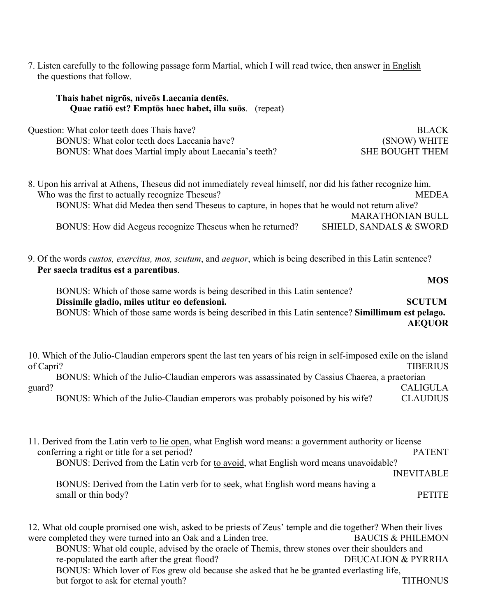7. Listen carefully to the following passage form Martial, which I will read twice, then answer in English the questions that follow.

#### **Thais habet nigrōs, niveōs Laecania dentēs. Quae ratiō est? Emptōs haec habet, illa suōs**. (repeat)

| Question: What color teeth does Thais have?            | BLACK                  |
|--------------------------------------------------------|------------------------|
| BONUS: What color teeth does Laecania have?            | (SNOW) WHITE           |
| BONUS: What does Martial imply about Laecania's teeth? | <b>SHE BOUGHT THEM</b> |

| 8. Upon his arrival at Athens, Theseus did not immediately reveal himself, nor did his father recognize him. |                                    |
|--------------------------------------------------------------------------------------------------------------|------------------------------------|
| Who was the first to actually recognize Theseus?                                                             | <b>MEDEA</b>                       |
| BONUS: What did Medea then send Theseus to capture, in hopes that he would not return alive?                 |                                    |
|                                                                                                              | <b>MARATHONIAN BULL</b>            |
| BONUS: How did Aegeus recognize Theseus when he returned?                                                    | <b>SHIELD, SANDALS &amp; SWORD</b> |
|                                                                                                              |                                    |

9. Of the words *custos, exercitus, mos, scutum*, and *aequor*, which is being described in this Latin sentence?  **Per saecla traditus est a parentibus**.

| BONUS: Which of those same words is being described in this Latin sentence?                               |               |
|-----------------------------------------------------------------------------------------------------------|---------------|
| Dissimile gladio, miles utitur eo defensioni.                                                             | <b>SCUTUM</b> |
| BONUS: Which of those same words is being described in this Latin sentence? <b>Simillimum est pelago.</b> |               |
|                                                                                                           | <b>AEQUOR</b> |

**MOS**

10. Which of the Julio-Claudian emperors spent the last ten years of his reign in self-imposed exile on the island of Capri? TIBERIUS BONUS: Which of the Julio-Claudian emperors was assassinated by Cassius Chaerea, a praetorian guard? CALIGULA BONUS: Which of the Julio-Claudian emperors was probably poisoned by his wife? CLAUDIUS

11. Derived from the Latin verb to lie open, what English word means: a government authority or license conferring a right or title for a set period? PATENT BONUS: Derived from the Latin verb for to avoid, what English word means unavoidable? INEVITABLE BONUS: Derived from the Latin verb for to seek, what English word means having a small or thin body? PETITE

12. What old couple promised one wish, asked to be priests of Zeus' temple and die together? When their lives were completed they were turned into an Oak and a Linden tree. BAUCIS & PHILEMON BONUS: What old couple, advised by the oracle of Themis, threw stones over their shoulders and re-populated the earth after the great flood? DEUCALION & PYRRHA BONUS: Which lover of Eos grew old because she asked that he be granted everlasting life, but forgot to ask for eternal youth? TITHONUS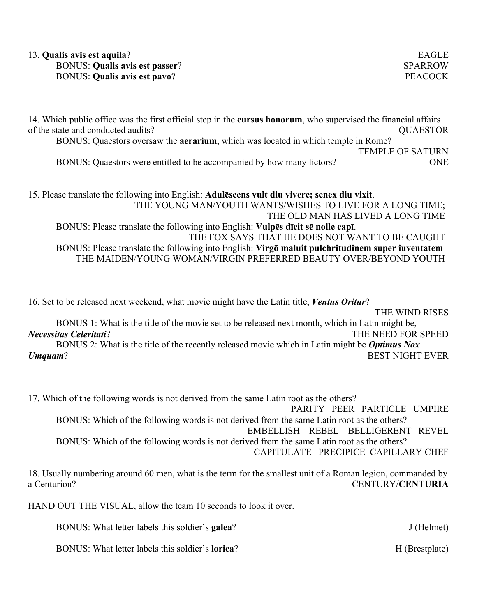#### 13. **Qualis avis est aquila**? EAGLE BONUS: Qualis avis est passer? SPARROW BONUS: **Qualis avis est pavo**? PEACOCK

14. Which public office was the first official step in the **cursus honorum**, who supervised the financial affairs of the state and conducted audits? QUAESTOR BONUS: Quaestors oversaw the **aerarium**, which was located in which temple in Rome? TEMPLE OF SATURN BONUS: Quaestors were entitled to be accompanied by how many lictors? ONE

15. Please translate the following into English: **Adulēscens vult diu vivere; senex diu vixit**. THE YOUNG MAN/YOUTH WANTS/WISHES TO LIVE FOR A LONG TIME; THE OLD MAN HAS LIVED A LONG TIME BONUS: Please translate the following into English: **Vulpēs dīcit sē nolle capī**. THE FOX SAYS THAT HE DOES NOT WANT TO BE CAUGHT BONUS: Please translate the following into English: **Virgō maluit pulchritudinem super iuventatem** THE MAIDEN/YOUNG WOMAN/VIRGIN PREFERRED BEAUTY OVER/BEYOND YOUTH

16. Set to be released next weekend, what movie might have the Latin title, *Ventus Oritur*? THE WIND RISES BONUS 1: What is the title of the movie set to be released next month, which in Latin might be, *Necessitas Celeritati*? THE NEED FOR SPEED BONUS 2: What is the title of the recently released movie which in Latin might be *Optimus Nox Umquam*? BEST NIGHT EVER

17. Which of the following words is not derived from the same Latin root as the others? PARITY PEER PARTICLE UMPIRE BONUS: Which of the following words is not derived from the same Latin root as the others? EMBELLISH REBEL BELLIGERENT REVEL BONUS: Which of the following words is not derived from the same Latin root as the others? CAPITULATE PRECIPICE CAPILLARY CHEF

18. Usually numbering around 60 men, what is the term for the smallest unit of a Roman legion, commanded by a Centurion? CENTURY/**CENTURIA**

HAND OUT THE VISUAL, allow the team 10 seconds to look it over.

BONUS: What letter labels this soldier's **galea**? J (Helmet)

BONUS: What letter labels this soldier's **lorica**? H (Brestplate)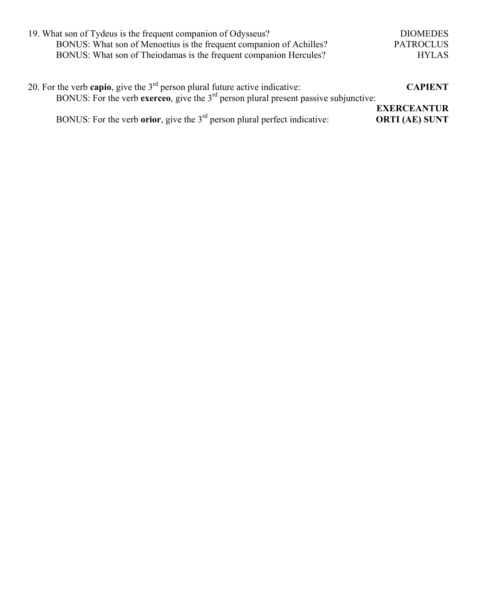| 19. What son of Tydeus is the frequent companion of Odysseus?                          | <b>DIOMEDES</b>       |
|----------------------------------------------------------------------------------------|-----------------------|
| BONUS: What son of Menoetius is the frequent companion of Achilles?                    | <b>PATROCLUS</b>      |
| BONUS: What son of Theiodamas is the frequent companion Hercules?                      | <b>HYLAS</b>          |
|                                                                                        |                       |
| 20. For the verb capio, give the $3rd$ person plural future active indicative:         | <b>CAPIENT</b>        |
| BONUS: For the verb exerceo, give the $3rd$ person plural present passive subjunctive: |                       |
|                                                                                        | <b>EXERCEANTUR</b>    |
| BONUS: For the verb orior, give the $3rd$ person plural perfect indicative:            | <b>ORTI (AE) SUNT</b> |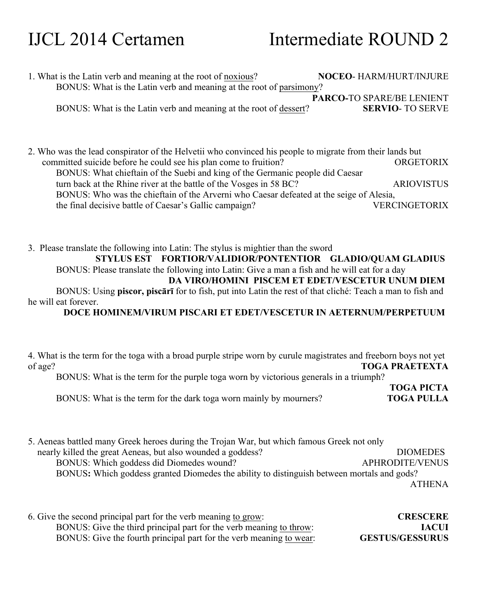## IJCL 2014 Certamen Intermediate ROUND 2

- 1. What is the Latin verb and meaning at the root of noxious? **NOCEO** HARM/HURT/INJURE BONUS: What is the Latin verb and meaning at the root of parsimony? **PARCO-**TO SPARE/BE LENIENT BONUS: What is the Latin verb and meaning at the root of dessert? **SERVIO**- TO SERVE
- 2. Who was the lead conspirator of the Helvetii who convinced his people to migrate from their lands but committed suicide before he could see his plan come to fruition? ORGETORIX BONUS: What chieftain of the Suebi and king of the Germanic people did Caesar turn back at the Rhine river at the battle of the Vosges in 58 BC? ARIOVISTUS BONUS: Who was the chieftain of the Arverni who Caesar defeated at the seige of Alesia, the final decisive battle of Caesar's Gallic campaign? VERCINGETORIX

3. Please translate the following into Latin: The stylus is mightier than the sword **STYLUS EST FORTIOR/VALIDIOR/PONTENTIOR GLADIO/QUAM GLADIUS** BONUS: Please translate the following into Latin: Give a man a fish and he will eat for a day **DA VIRO/HOMINI PISCEM ET EDET/VESCETUR UNUM DIEM** BONUS: Using **piscor, piscārī** for to fish, put into Latin the rest of that cliché: Teach a man to fish and he will eat forever. **DOCE HOMINEM/VIRUM PISCARI ET EDET/VESCETUR IN AETERNUM/PERPETUUM**

4. What is the term for the toga with a broad purple stripe worn by curule magistrates and freeborn boys not yet of age? **TOGA PRAETEXTA** BONUS: What is the term for the purple toga worn by victorious generals in a triumph? **TOGA PICTA** BONUS: What is the term for the dark toga worn mainly by mourners? **TOGA PULLA**

- 5. Aeneas battled many Greek heroes during the Trojan War, but which famous Greek not only nearly killed the great Aeneas, but also wounded a goddess? DIOMEDES BONUS: Which goddess did Diomedes wound? APHRODITE/VENUS BONUS**:** Which goddess granted Diomedes the ability to distinguish between mortals and gods? ATHENA
- 6. Give the second principal part for the verb meaning to grow: **CRESCERE** BONUS: Give the third principal part for the verb meaning to throw: **IACUI** BONUS: Give the fourth principal part for the verb meaning to wear: **GESTUS/GESSURUS**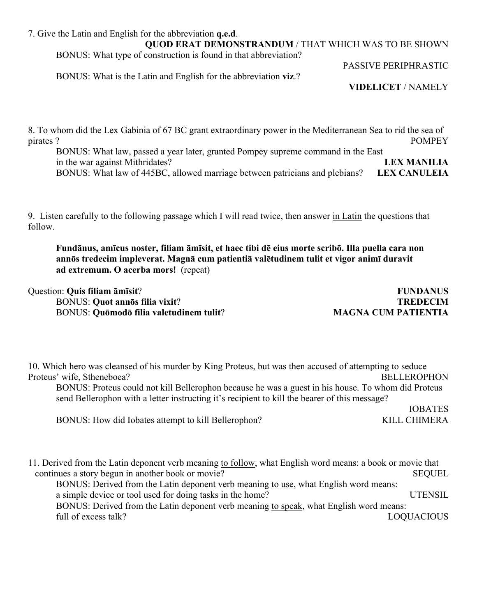7. Give the Latin and English for the abbreviation **q.e.d**.

**QUOD ERAT DEMONSTRANDUM** / THAT WHICH WAS TO BE SHOWN

BONUS: What type of construction is found in that abbreviation?

PASSIVE PERIPHRASTIC

BONUS: What is the Latin and English for the abbreviation **viz**.?

### **VIDELICET** / NAMELY

8. To whom did the Lex Gabinia of 67 BC grant extraordinary power in the Mediterranean Sea to rid the sea of pirates ? POMPEY

BONUS: What law, passed a year later, granted Pompey supreme command in the East in the war against Mithridates? **LEX MANILIA** BONUS: What law of 445BC, allowed marriage between patricians and plebians? **LEX CANULEIA**

9. Listen carefully to the following passage which I will read twice, then answer in Latin the questions that follow.

**Fundānus, amīcus noster, filiam āmīsit, et haec tibi dē eius morte scribō. Illa puella cara non annōs tredecim impleverat. Magnā cum patientiā valētudinem tulit et vigor animī duravit ad extremum. O acerba mors!** (repeat)

| Question: Quis filiam amisit?                  | <b>FUNDANUS</b>            |
|------------------------------------------------|----------------------------|
| <b>BONUS: Quot annos filia vixit?</b>          | <b>TREDECIM</b>            |
| <b>BONUS: Quōmodō filia valetudinem tulit?</b> | <b>MAGNA CUM PATIENTIA</b> |

10. Which hero was cleansed of his murder by King Proteus, but was then accused of attempting to seduce Proteus' wife, Stheneboea? BELLEROPHON BONUS: Proteus could not kill Bellerophon because he was a guest in his house. To whom did Proteus send Bellerophon with a letter instructing it's recipient to kill the bearer of this message? BONUS: How did Iobates attempt to kill Bellerophon? KILL CHIMERA

11. Derived from the Latin deponent verb meaning to follow, what English word means: a book or movie that continues a story begun in another book or movie? SEQUEL

BONUS: Derived from the Latin deponent verb meaning to use, what English word means: a simple device or tool used for doing tasks in the home? UTENSIL BONUS: Derived from the Latin deponent verb meaning to speak, what English word means: full of excess talk? LOQUACIOUS

IOBATES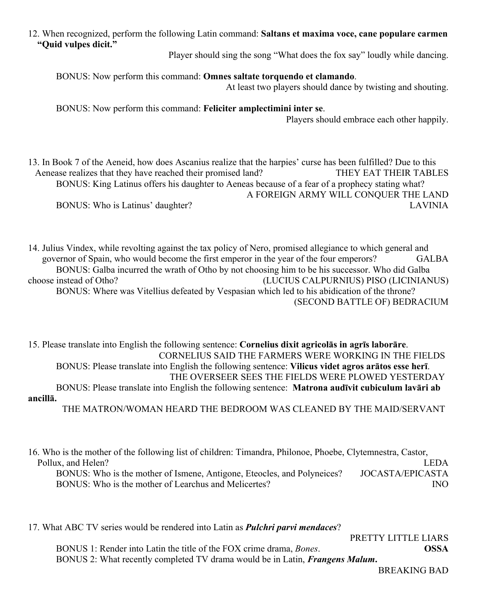#### 12. When recognized, perform the following Latin command: **Saltans et maxima voce, cane populare carmen "Quid vulpes dicit."**

Player should sing the song "What does the fox say" loudly while dancing.

BONUS: Now perform this command: **Omnes saltate torquendo et clamando**.

At least two players should dance by twisting and shouting.

BONUS: Now perform this command: **Feliciter amplectimini inter se**.

Players should embrace each other happily.

13. In Book 7 of the Aeneid, how does Ascanius realize that the harpies' curse has been fulfilled? Due to this Aenease realizes that they have reached their promised land? THEY EAT THEIR TABLES BONUS: King Latinus offers his daughter to Aeneas because of a fear of a prophecy stating what? A FOREIGN ARMY WILL CONQUER THE LAND BONUS: Who is Latinus' daughter? LAVINIA

14. Julius Vindex, while revolting against the tax policy of Nero, promised allegiance to which general and governor of Spain, who would become the first emperor in the year of the four emperors? GALBA BONUS: Galba incurred the wrath of Otho by not choosing him to be his successor. Who did Galba choose instead of Otho? (LUCIUS CALPURNIUS) PISO (LICINIANUS) BONUS: Where was Vitellius defeated by Vespasian which led to his abidication of the throne? (SECOND BATTLE OF) BEDRACIUM

15. Please translate into English the following sentence: **Cornelius dixit agricolās in agrīs laborāre**. CORNELIUS SAID THE FARMERS WERE WORKING IN THE FIELDS BONUS: Please translate into English the following sentence: **Vilicus videt agros arātos esse herī**. THE OVERSEER SEES THE FIELDS WERE PLOWED YESTERDAY BONUS: Please translate into English the following sentence: **Matrona audīvit cubiculum lavāri ab ancillā.**

THE MATRON/WOMAN HEARD THE BEDROOM WAS CLEANED BY THE MAID/SERVANT

| 16. Who is the mother of the following list of children: Timandra, Philonoe, Phoebe, Clytemnestra, Castor, |                         |
|------------------------------------------------------------------------------------------------------------|-------------------------|
| Pollux, and Helen?                                                                                         | LEDA.                   |
| BONUS: Who is the mother of Ismene, Antigone, Eteocles, and Polyneices?                                    | <b>JOCASTA/EPICASTA</b> |
| BONUS: Who is the mother of Learchus and Melicertes?                                                       | <b>INO</b>              |
|                                                                                                            |                         |

17. What ABC TV series would be rendered into Latin as *Pulchri parvi mendaces*?

PRETTY LITTLE LIARS

BONUS 1: Render into Latin the title of the FOX crime drama, *Bones*. **OSSA** BONUS 2: What recently completed TV drama would be in Latin, *Frangens Malum***.**

BREAKING BAD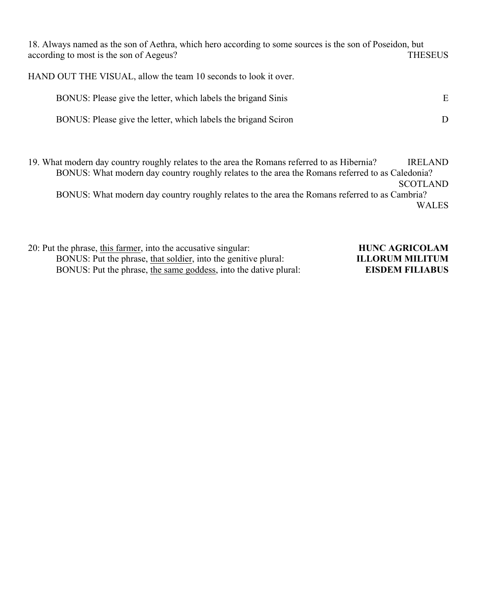18. Always named as the son of Aethra, which hero according to some sources is the son of Poseidon, but according to most is the son of Aegeus? THESEUS HAND OUT THE VISUAL, allow the team 10 seconds to look it over. BONUS: Please give the letter, which labels the brigand Sinis E BONUS: Please give the letter, which labels the brigand Sciron D 19. What modern day country roughly relates to the area the Romans referred to as Hibernia? IRELAND BONUS: What modern day country roughly relates to the area the Romans referred to as Caledonia?

**SCOTLAND** 

BONUS: What modern day country roughly relates to the area the Romans referred to as Cambria? WALES

| 20: Put the phrase, this farmer, into the accusative singular:   | <b>HUNC AGRICOLAM</b>  |
|------------------------------------------------------------------|------------------------|
| BONUS: Put the phrase, that soldier, into the genitive plural:   | <b>ILLORUM MILITUM</b> |
| BONUS: Put the phrase, the same goddess, into the dative plural: | <b>EISDEM FILIABUS</b> |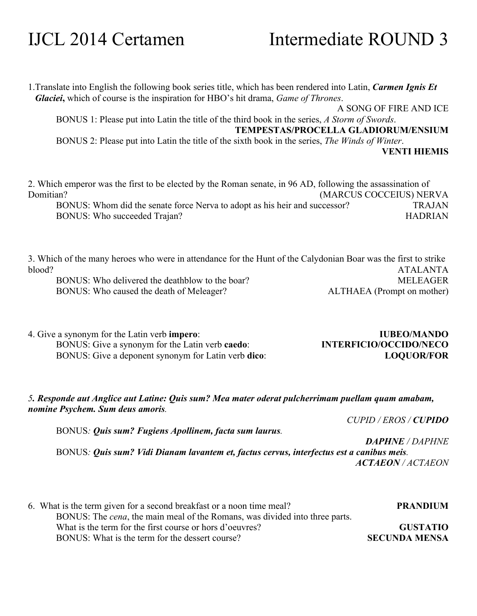### IJCL 2014 Certamen Intermediate ROUND 3

| 1. Translate into English the following book series title, which has been rendered into Latin, <i>Carmen Ignis Et</i><br><b>Glaciei</b> , which of course is the inspiration for HBO's hit drama, <i>Game of Thrones</i> .                   |                                                            |
|----------------------------------------------------------------------------------------------------------------------------------------------------------------------------------------------------------------------------------------------|------------------------------------------------------------|
|                                                                                                                                                                                                                                              | A SONG OF FIRE AND ICE                                     |
| BONUS 1: Please put into Latin the title of the third book in the series, A Storm of Swords.                                                                                                                                                 |                                                            |
|                                                                                                                                                                                                                                              | <b>TEMPESTAS/PROCELLA GLADIORUM/ENSIUM</b>                 |
| BONUS 2: Please put into Latin the title of the sixth book in the series, The Winds of Winter.                                                                                                                                               |                                                            |
|                                                                                                                                                                                                                                              | <b>VENTI HIEMIS</b>                                        |
| 2. Which emperor was the first to be elected by the Roman senate, in 96 AD, following the assassination of<br>Domitian?<br>BONUS: Whom did the senate force Nerva to adopt as his heir and successor?<br><b>BONUS:</b> Who succeeded Trajan? | (MARCUS COCCEIUS) NERVA<br><b>TRAJAN</b><br><b>HADRIAN</b> |
| 3. Which of the many heroes who were in attendance for the Hunt of the Calydonian Boar was the first to strike                                                                                                                               |                                                            |
| blood?                                                                                                                                                                                                                                       | <b>ATALANTA</b>                                            |
| BONUS: Who delivered the deathblow to the boar?                                                                                                                                                                                              | <b>MELEAGER</b>                                            |
| BONUS: Who caused the death of Meleager?                                                                                                                                                                                                     | ALTHAEA (Prompt on mother)                                 |

4. Give a synonym for the Latin verb **impero**: **IUBEO/MANDO**<br>BONUS: Give a synonym for the Latin verb **caedo**: **INTERFICIO/OCCIDO/NECO** BONUS: Give a synonym for the Latin verb caedo: BONUS: Give a deponent synonym for Latin verb **dico**: **LOQUOR/FOR**

*5. Responde aut Anglice aut Latine: Quis sum? Mea mater oderat pulcherrimam puellam quam amabam, nomine Psychem. Sum deus amoris.*

*CUPID / EROS / CUPIDO*

BONUS*: Quis sum? Fugiens Apollinem, facta sum laurus.*

*DAPHNE / DAPHNE* BONUS*: Quis sum? Vidi Dianam lavantem et, factus cervus, interfectus est a canibus meis. ACTAEON / ACTAEON*

| 6. What is the term given for a second breakfast or a noon time meal?               | <b>PRANDIUM</b>      |
|-------------------------------------------------------------------------------------|----------------------|
| BONUS: The <i>cena</i> , the main meal of the Romans, was divided into three parts. |                      |
| What is the term for the first course or hors d'oeuvres?                            | <b>GUSTATIO</b>      |
| BONUS: What is the term for the dessert course?                                     | <b>SECUNDA MENSA</b> |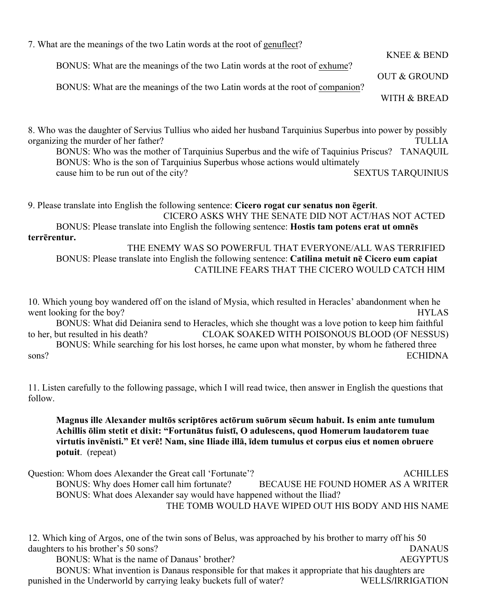7. What are the meanings of the two Latin words at the root of genuflect?

BONUS: What are the meanings of the two Latin words at the root of exhume?

BONUS: What are the meanings of the two Latin words at the root of companion?

WITH & BREAD

OUT & GROUND

KNEE & BEND

8. Who was the daughter of Servius Tullius who aided her husband Tarquinius Superbus into power by possibly organizing the murder of her father? TULLIA

BONUS: Who was the mother of Tarquinius Superbus and the wife of Taquinius Priscus? TANAQUIL BONUS: Who is the son of Tarquinius Superbus whose actions would ultimately cause him to be run out of the city? SEXTUS TARQUINIUS

9. Please translate into English the following sentence: **Cicero rogat cur senatus non ēgerit**. CICERO ASKS WHY THE SENATE DID NOT ACT/HAS NOT ACTED BONUS: Please translate into English the following sentence: **Hostis tam potens erat ut omnēs terrērentur.**

THE ENEMY WAS SO POWERFUL THAT EVERYONE/ALL WAS TERRIFIED BONUS: Please translate into English the following sentence: **Catilina metuit nē Cicero eum capiat** CATILINE FEARS THAT THE CICERO WOULD CATCH HIM

10. Which young boy wandered off on the island of Mysia, which resulted in Heracles' abandonment when he went looking for the boy? HYLAS

BONUS: What did Deianira send to Heracles, which she thought was a love potion to keep him faithful to her, but resulted in his death? CLOAK SOAKED WITH POISONOUS BLOOD (OF NESSUS) BONUS: While searching for his lost horses, he came upon what monster, by whom he fathered three sons? ECHIDNA

11. Listen carefully to the following passage, which I will read twice, then answer in English the questions that follow.

**Magnus ille Alexander multōs scriptōres actōrum suōrum sēcum habuit. Is enim ante tumulum Achillis ōlim stetit et dixit: "Fortunātus fuistī, O adulescens, quod Homerum laudatorem tuae virtutis invēnisti." Et verē! Nam, sine Iliade illā, īdem tumulus et corpus eius et nomen obruere potuit**. (repeat)

Question: Whom does Alexander the Great call 'Fortunate'? ACHILLES BONUS: Why does Homer call him fortunate? BECAUSE HE FOUND HOMER AS A WRITER BONUS: What does Alexander say would have happened without the Iliad? THE TOMB WOULD HAVE WIPED OUT HIS BODY AND HIS NAME

12. Which king of Argos, one of the twin sons of Belus, was approached by his brother to marry off his 50 daughters to his brother's 50 sons? DANAUS BONUS: What is the name of Danaus' brother? AEGYPTUS BONUS: What invention is Danaus responsible for that makes it appropriate that his daughters are punished in the Underworld by carrying leaky buckets full of water? WELLS**/**IRRIGATION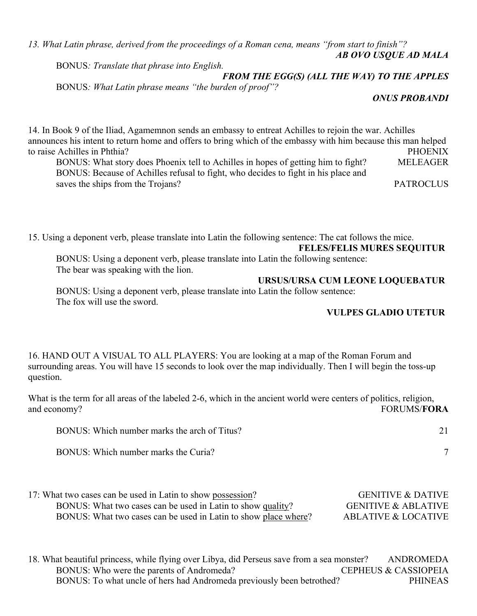*13. What Latin phrase, derived from the proceedings of a Roman cena, means "from start to finish"? AB OVO USQUE AD MALA*

BONUS*: Translate that phrase into English.*

*FROM THE EGG(S) (ALL THE WAY) TO THE APPLES*

BONUS*: What Latin phrase means "the burden of proof"?*

*ONUS PROBANDI*

14. In Book 9 of the Iliad, Agamemnon sends an embassy to entreat Achilles to rejoin the war. Achilles announces his intent to return home and offers to bring which of the embassy with him because this man helped to raise Achilles in Phthia? PHOENIX and the raise Achilles in Phtone PHOENIX and the raise Achilles in Phtone PHOENIX BONUS: What story does Phoenix tell to Achilles in hopes of getting him to fight? MELEAGER BONUS: Because of Achilles refusal to fight, who decides to fight in his place and

saves the ships from the Trojans? PATROCLUS

15. Using a deponent verb, please translate into Latin the following sentence: The cat follows the mice.

**FELES/FELIS MURES SEQUITUR**

BONUS: Using a deponent verb, please translate into Latin the following sentence: The bear was speaking with the lion.

**URSUS/URSA CUM LEONE LOQUEBATUR**

BONUS: Using a deponent verb, please translate into Latin the follow sentence: The fox will use the sword.

#### **VULPES GLADIO UTETUR**

16. HAND OUT A VISUAL TO ALL PLAYERS: You are looking at a map of the Roman Forum and surrounding areas. You will have 15 seconds to look over the map individually. Then I will begin the toss-up question.

What is the term for all areas of the labeled 2-6, which in the ancient world were centers of politics, religion, and economy? FORUMS/**FORA**

BONUS: Which number marks the arch of Titus? 21

BONUS: Which number marks the Curia? 7

17: What two cases can be used in Latin to show possession? GENITIVE & DATIVE BONUS: What two cases can be used in Latin to show quality? GENITIVE & ABLATIVE BONUS: What two cases can be used in Latin to show place where? ABLATIVE & LOCATIVE

18. What beautiful princess, while flying over Libya, did Perseus save from a sea monster? ANDROMEDA BONUS: Who were the parents of Andromeda? CEPHEUS & CASSIOPEIA BONUS: To what uncle of hers had Andromeda previously been betrothed? PHINEAS

- -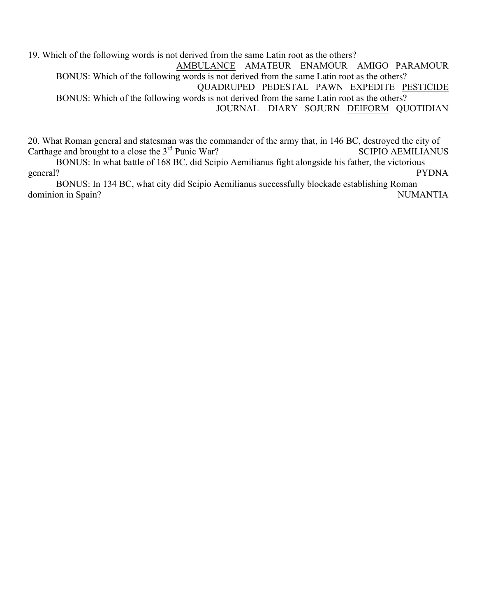19. Which of the following words is not derived from the same Latin root as the others? AMBULANCE AMATEUR ENAMOUR AMIGO PARAMOUR BONUS: Which of the following words is not derived from the same Latin root as the others? QUADRUPED PEDESTAL PAWN EXPEDITE PESTICIDE BONUS: Which of the following words is not derived from the same Latin root as the others? JOURNAL DIARY SOJURN DEIFORM QUOTIDIAN

20. What Roman general and statesman was the commander of the army that, in 146 BC, destroyed the city of Carthage and brought to a close the 3<sup>rd</sup> Punic War? SCIPIO AEMILIANUS

BONUS: In what battle of 168 BC, did Scipio Aemilianus fight alongside his father, the victorious general? PYDNA

BONUS: In 134 BC, what city did Scipio Aemilianus successfully blockade establishing Roman dominion in Spain? NUMANTIA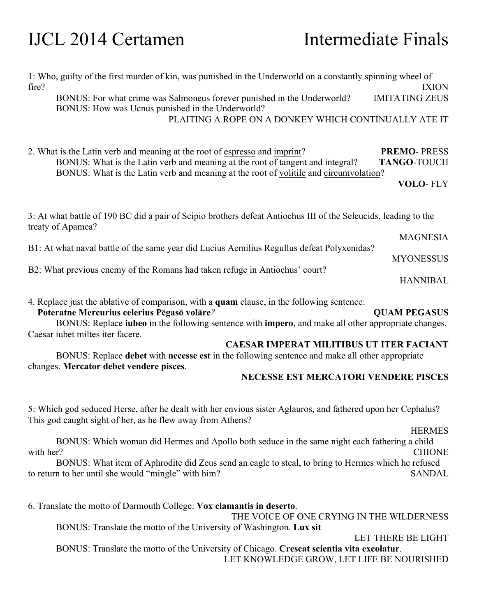## IJCL 2014 Certamen Intermediate Finals

| 1: Who, guilty of the first murder of kin, was punished in the Underworld on a constantly spinning wheel of<br>fire?<br>IXION<br><b>IMITATING ZEUS</b><br>BONUS: For what crime was Salmoneus forever punished in the Underworld?<br>BONUS: How was Ucnus punished in the Underworld?<br>PLAITING A ROPE ON A DONKEY WHICH CONTINUALLY ATE IT |  |  |
|-----------------------------------------------------------------------------------------------------------------------------------------------------------------------------------------------------------------------------------------------------------------------------------------------------------------------------------------------|--|--|
| 2. What is the Latin verb and meaning at the root of espresso and imprint?<br><b>PREMO-PRESS</b><br>BONUS: What is the Latin verb and meaning at the root of tangent and integral?<br><b>TANGO-TOUCH</b><br>BONUS: What is the Latin verb and meaning at the root of volitile and circumvolation?<br><b>VOLO-FLY</b>                          |  |  |
| 3: At what battle of 190 BC did a pair of Scipio brothers defeat Antiochus III of the Seleucids, leading to the<br>treaty of Apamea?                                                                                                                                                                                                          |  |  |
| <b>MAGNESIA</b><br>B1: At what naval battle of the same year did Lucius Aemilius Regullus defeat Polyxenidas?                                                                                                                                                                                                                                 |  |  |
| <b>MYONESSUS</b>                                                                                                                                                                                                                                                                                                                              |  |  |
| B2: What previous enemy of the Romans had taken refuge in Antiochus' court?<br><b>HANNIBAL</b>                                                                                                                                                                                                                                                |  |  |
| 4. Replace just the ablative of comparison, with a <b>quam</b> clause, in the following sentence:<br>Poteratne Mercurius celerius Pēgasō volāre?<br><b>QUAM PEGASUS</b><br>BONUS: Replace iubeo in the following sentence with impero, and make all other appropriate changes.<br>Caesar iubet miltes iter facere.                            |  |  |
| <b>CAESAR IMPERAT MILITIBUS UT ITER FACIANT</b><br>BONUS: Replace debet with necesse est in the following sentence and make all other appropriate                                                                                                                                                                                             |  |  |
| changes. Mercator debet vendere pisces.<br><b>NECESSE EST MERCATORI VENDERE PISCES</b>                                                                                                                                                                                                                                                        |  |  |
| 5: Which god seduced Herse, after he dealt with her envious sister Aglauros, and fathered upon her Cephalus?<br>This god caught sight of her, as he flew away from Athens?<br><b>HERMES</b><br>BONUS: Which woman did Hermes and Apollo both seduce in the same night each fathering a child                                                  |  |  |
| with her?<br><b>CHIONE</b><br>BONUS: What item of Aphrodite did Zeus send an eagle to steal, to bring to Hermes which he refused<br>to return to her until she would "mingle" with him?<br><b>SANDAL</b>                                                                                                                                      |  |  |
| 6. Translate the motto of Darmouth College: Vox clamantis in deserto.<br>THE VOICE OF ONE CRYING IN THE WILDERNESS<br>BONUS: Translate the motto of the University of Washington. Lux sit                                                                                                                                                     |  |  |

LET THERE BE LIGHT

BONUS: Translate the motto of the University of Chicago. **Crescat scientia vita excolatur**. LET KNOWLEDGE GROW, LET LIFE BE NOURISHED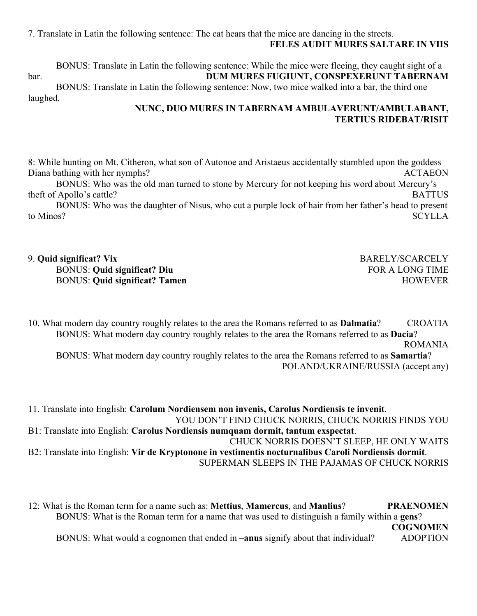7. Translate in Latin the following sentence: The cat hears that the mice are dancing in the streets. **FELES AUDIT MURES SALTARE IN VIIS**

BONUS: Translate in Latin the following sentence: While the mice were fleeing, they caught sight of a bar. **DUM MURES FUGIUNT, CONSPEXERUNT TABERNAM** BONUS: Translate in Latin the following sentence: Now, two mice walked into a bar, the third one

laughed.

### **NUNC, DUO MURES IN TABERNAM AMBULAVERUNT/AMBULABANT, TERTIUS RIDEBAT/RISIT**

8: While hunting on Mt. Citheron, what son of Autonoe and Aristaeus accidentally stumbled upon the goddess Diana bathing with her nymphs? ACTAEON

BONUS: Who was the old man turned to stone by Mercury for not keeping his word about Mercury's theft of Apollo's cattle? BATTUS

BONUS: Who was the daughter of Nisus, who cut a purple lock of hair from her father's head to present to Minos? SCYLLA

### 9. **Quid significat? Vix** BARELY/SCARCELY BONUS: Quid significat? Diu **FOR A LONG TIME** BONUS: Quid significat? Tamen **HOWEVER**

10. What modern day country roughly relates to the area the Romans referred to as **Dalmatia**? CROATIA BONUS: What modern day country roughly relates to the area the Romans referred to as **Dacia**?

ROMANIA

BONUS: What modern day country roughly relates to the area the Romans referred to as **Samartia**? POLAND/UKRAINE/RUSSIA (accept any)

11. Translate into English: **Carolum Nordiensem non invenis, Carolus Nordiensis te invenit**. YOU DON'T FIND CHUCK NORRIS, CHUCK NORRIS FINDS YOU B1: Translate into English: **Carolus Nordiensis numquam dormit, tantum exspectat**. CHUCK NORRIS DOESN'T SLEEP, HE ONLY WAITS B2: Translate into English: **Vir de Kryptonone in vestimentis nocturnalibus Caroli Nordiensis dormit**. SUPERMAN SLEEPS IN THE PAJAMAS OF CHUCK NORRIS

12: What is the Roman term for a name such as: **Mettius**, **Mamercus**, and **Manlius**? **PRAENOMEN** BONUS: What is the Roman term for a name that was used to distinguish a family within a **gens**? **COGNOMEN** BONUS: What would a cognomen that ended in –**anus** signify about that individual? ADOPTION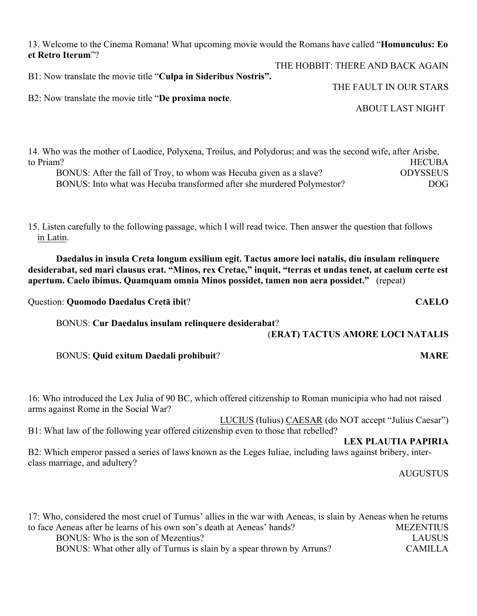13. Welcome to the Cinema Romana! What upcoming movie would the Romans have called "**Homunculus: Eo et Retro Iterum**"?

THE HOBBIT: THERE AND BACK AGAIN

B1: Now translate the movie title "**Culpa in Sideribus Nostris".**

B2: Now translate the movie title "**De proxima nocte**.

ABOUT LAST NIGHT

THE FAULT IN OUR STARS

14. Who was the mother of Laodice, Polyxena, Troilus, and Polydorus; and was the second wife, after Arisbe, to Priam? HECUBA BONUS: After the fall of Troy, to whom was Hecuba given as a slave? ODYSSEUS BONUS: Into what was Hecuba transformed after she murdered Polymestor? DOG

15. Listen carefully to the following passage, which I will read twice. Then answer the question that follows in Latin.

**Daedalus in insula Creta longum exsilium egit. Tactus amore loci natalis, diu insulam relinquere desiderabat, sed mari clausus erat. "Minos, rex Cretae," inquit, "terras et undas tenet, at caelum certe est apertum. Caelo ibimus. Quamquam omnia Minos possidet, tamen non aera possidet."** (repeat)

Question: **Quomodo Daedalus Cretā ibit**? **CAELO**

BONUS: **Cur Daedalus insulam relinquere desiderabat**?

(**ERAT) TACTUS AMORE LOCI NATALIS**

BONUS: **Quid exitum Daedali prohibuit**? **MARE**

16: Who introduced the Lex Julia of 90 BC, which offered citizenship to Roman municipia who had not raised arms against Rome in the Social War?

LUCIUS (Iulius) CAESAR (do NOT accept "Julius Caesar") B1: What law of the following year offered citizenship even to those that rebelled?

**LEX PLAUTIA PAPIRIA**

B2: Which emperor passed a series of laws known as the Leges Iuliae, including laws against bribery, interclass marriage, and adultery?

AUGUSTUS

17: Who, considered the most cruel of Turnus' allies in the war with Aeneas, is slain by Aeneas when he returns to face Aeneas after he learns of his own son's death at Aeneas' hands? MEZENTIUS BONUS: Who is the son of Mezentius? LAUSUS BONUS: What other ally of Turnus is slain by a spear thrown by Arruns? CAMILLA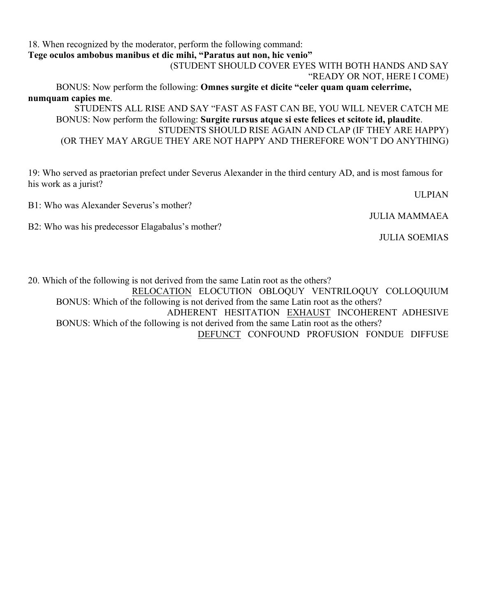18. When recognized by the moderator, perform the following command: **Tege oculos ambobus manibus et dic mihi, "Paratus aut non, hic venio"** (STUDENT SHOULD COVER EYES WITH BOTH HANDS AND SAY "READY OR NOT, HERE I COME) BONUS: Now perform the following: **Omnes surgite et dicite "celer quam quam celerrime, numquam capies me**. STUDENTS ALL RISE AND SAY "FAST AS FAST CAN BE, YOU WILL NEVER CATCH ME BONUS: Now perform the following: **Surgite rursus atque si este felices et scitote id, plaudite**. STUDENTS SHOULD RISE AGAIN AND CLAP (IF THEY ARE HAPPY) (OR THEY MAY ARGUE THEY ARE NOT HAPPY AND THEREFORE WON'T DO ANYTHING)

19: Who served as praetorian prefect under Severus Alexander in the third century AD, and is most famous for his work as a jurist?

B1: Who was Alexander Severus's mother?

B2: Who was his predecessor Elagabalus's mother?

JULIA MAMMAEA

ULPIAN

JULIA SOEMIAS

20. Which of the following is not derived from the same Latin root as the others? RELOCATION ELOCUTION OBLOQUY VENTRILOQUY COLLOQUIUM BONUS: Which of the following is not derived from the same Latin root as the others? ADHERENT HESITATION EXHAUST INCOHERENT ADHESIVE BONUS: Which of the following is not derived from the same Latin root as the others? DEFUNCT CONFOUND PROFUSION FONDUE DIFFUSE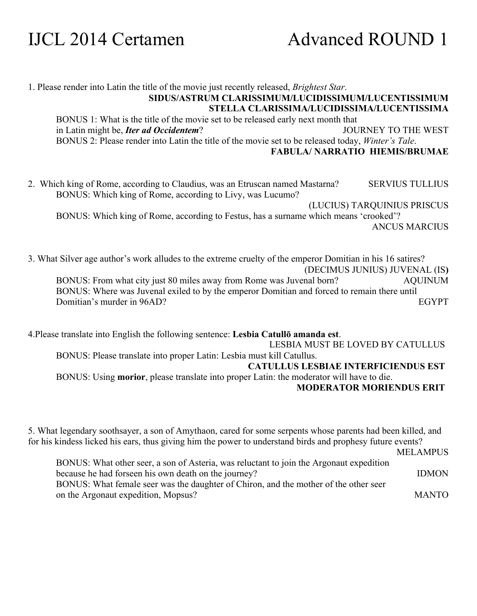IJCL 2014 Certamen Advanced ROUND 1

### 1. Please render into Latin the title of the movie just recently released, *Brightest Star*. **SIDUS/ASTRUM CLARISSIMUM/LUCIDISSIMUM/LUCENTISSIMUM STELLA CLARISSIMA/LUCIDISSIMA/LUCENTISSIMA** BONUS 1: What is the title of the movie set to be released early next month that in Latin might be, *Iter ad Occidentem*? JOURNEY TO THE WEST BONUS 2: Please render into Latin the title of the movie set to be released today, *Winter's Tale*. **FABULA/ NARRATIO HIEMIS/BRUMAE** 2. Which king of Rome, according to Claudius, was an Etruscan named Mastarna? SERVIUS TULLIUS BONUS: Which king of Rome, according to Livy, was Lucumo? (LUCIUS) TARQUINIUS PRISCUS BONUS: Which king of Rome, according to Festus, has a surname which means 'crooked'? ANCUS MARCIUS 3. What Silver age author's work alludes to the extreme cruelty of the emperor Domitian in his 16 satires? (DECIMUS JUNIUS) JUVENAL (IS**)** BONUS: From what city just 80 miles away from Rome was Juvenal born? AQUINUM BONUS: Where was Juvenal exiled to by the emperor Domitian and forced to remain there until Domitian's murder in 96AD? EGYPT 4.Please translate into English the following sentence: **Lesbia Catullō amanda est**. LESBIA MUST BE LOVED BY CATULLUS BONUS: Please translate into proper Latin: Lesbia must kill Catullus. **CATULLUS LESBIAE INTERFICIENDUS EST** BONUS: Using **morior**, please translate into proper Latin: the moderator will have to die. **MODERATOR MORIENDUS ERIT** 5. What legendary soothsayer, a son of Amythaon, cared for some serpents whose parents had been killed, and for his kindess licked his ears, thus giving him the power to understand birds and prophesy future events? MELAMPUS BONUS: What other seer, a son of Asteria, was reluctant to join the Argonaut expedition because he had forseen his own death on the journey? IDMON BONUS: What female seer was the daughter of Chiron, and the mother of the other seer on the Argonaut expedition, Mopsus? MANTO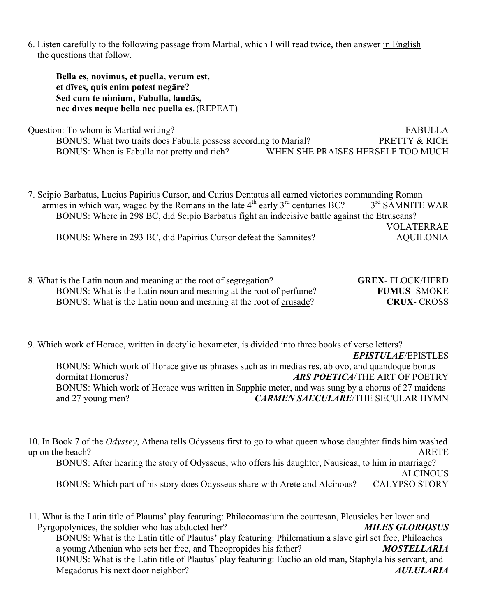6. Listen carefully to the following passage from Martial, which I will read twice, then answer in English the questions that follow.

**Bella es, nōvimus, et puella, verum est, et dīves, quis enim potest negāre? Sed cum te nimium, Fabulla, laudās, nec dīves neque bella nec puella es**.(REPEAT)

Question: To whom is Martial writing? The contract of the contract of the contract of the FABULLA BONUS: What two traits does Fabulla possess according to Marial? PRETTY & RICH BONUS: When is Fabulla not pretty and rich? WHEN SHE PRAISES HERSELF TOO MUCH

7. Scipio Barbatus, Lucius Papirius Cursor, and Curius Dentatus all earned victories commanding Roman armies in which war, waged by the Romans in the late  $4<sup>th</sup>$  early  $3<sup>rd</sup>$  centuries BC?  $3<sup>rd</sup>$  SAMNITE WAR BONUS: Where in 298 BC, did Scipio Barbatus fight an indecisive battle against the Etruscans? VOLATERRAE BONUS: Where in 293 BC, did Papirius Cursor defeat the Samnites? AQUILONIA

8. What is the Latin noun and meaning at the root of segregation? **GREX**- FLOCK/HERD BONUS: What is the Latin noun and meaning at the root of perfume? **FUMUS**- SMOKE BONUS: What is the Latin noun and meaning at the root of crusade? **CRUX**- CROSS

9. Which work of Horace, written in dactylic hexameter, is divided into three books of verse letters? *EPISTULAE*/EPISTLES BONUS: Which work of Horace give us phrases such as in medias res, ab ovo, and quandoque bonus dormitat Homerus? *ARS POETICA*/THE ART OF POETRY BONUS: Which work of Horace was written in Sapphic meter, and was sung by a chorus of 27 maidens and 27 young men?<br>*CARMEN SAECULARE*/THE SECULAR HYMN

10. In Book 7 of the *Odyssey*, Athena tells Odysseus first to go to what queen whose daughter finds him washed up on the beach? ARETE BONUS: After hearing the story of Odysseus, who offers his daughter, Nausicaa, to him in marriage? ALCINOUS BONUS: Which part of his story does Odysseus share with Arete and Alcinous? CALYPSO STORY

11. What is the Latin title of Plautus' play featuring: Philocomasium the courtesan, Pleusicles her lover and Pyrgopolynices, the soldier who has abducted her? *MILES GLORIOSUS* BONUS: What is the Latin title of Plautus' play featuring: Philematium a slave girl set free, Philoaches a young Athenian who sets her free, and Theopropides his father? *MOSTELLARIA* BONUS: What is the Latin title of Plautus' play featuring: Euclio an old man, Staphyla his servant, and Megadorus his next door neighbor? *AULULARIA*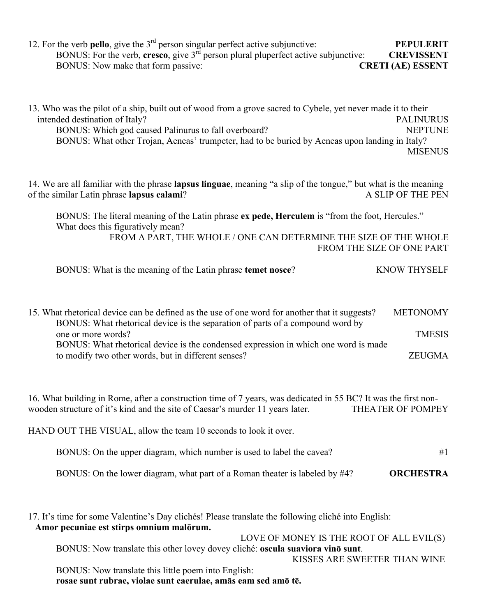| 12. For the verb pello, give the $3rd$ person singular perfect active subjunctive:<br>BONUS: For the verb, cresco, give $3rd$ person plural pluperfect active subjunctive:<br>BONUS: Now make that form passive:                                                                                                                                     | <b>PEPULERIT</b><br><b>CREVISSENT</b><br><b>CRETI (AE) ESSENT</b> |
|------------------------------------------------------------------------------------------------------------------------------------------------------------------------------------------------------------------------------------------------------------------------------------------------------------------------------------------------------|-------------------------------------------------------------------|
| 13. Who was the pilot of a ship, built out of wood from a grove sacred to Cybele, yet never made it to their<br>intended destination of Italy?<br>BONUS: Which god caused Palinurus to fall overboard?<br>BONUS: What other Trojan, Aeneas' trumpeter, had to be buried by Aeneas upon landing in Italy?                                             | <b>PALINURUS</b><br><b>NEPTUNE</b><br><b>MISENUS</b>              |
| 14. We are all familiar with the phrase lapsus linguae, meaning "a slip of the tongue," but what is the meaning<br>of the similar Latin phrase lapsus calami?                                                                                                                                                                                        | A SLIP OF THE PEN                                                 |
| BONUS: The literal meaning of the Latin phrase ex pede, Herculem is "from the foot, Hercules."<br>What does this figuratively mean?<br>FROM A PART, THE WHOLE / ONE CAN DETERMINE THE SIZE OF THE WHOLE<br>FROM THE SIZE OF ONE PART<br>BONUS: What is the meaning of the Latin phrase temet nosce?                                                  | <b>KNOW THYSELF</b>                                               |
| 15. What rhetorical device can be defined as the use of one word for another that it suggests?<br>BONUS: What rhetorical device is the separation of parts of a compound word by<br>one or more words?<br>BONUS: What rhetorical device is the condensed expression in which one word is made<br>to modify two other words, but in different senses? | <b>METONOMY</b><br><b>TMESIS</b><br><b>ZEUGMA</b>                 |
| 16. What building in Rome, after a construction time of 7 years, was dedicated in 55 BC? It was the first non-<br>wooden structure of it's kind and the site of Caesar's murder 11 years later.<br>HAND OUT THE VISUAL, allow the team 10 seconds to look it over.                                                                                   | <b>THEATER OF POMPEY</b>                                          |
| BONUS: On the upper diagram, which number is used to label the cavea?                                                                                                                                                                                                                                                                                | #1                                                                |
| BONUS: On the lower diagram, what part of a Roman theater is labeled by #4?                                                                                                                                                                                                                                                                          | <b>ORCHESTRA</b>                                                  |

17. It's time for some Valentine's Day clichés! Please translate the following cliché into English: **Amor pecuniae est stirps omnium malōrum.**

LOVE OF MONEY IS THE ROOT OF ALL EVIL(S)

BONUS: Now translate this other lovey dovey cliché: **oscula suaviora vinō sunt**.

KISSES ARE SWEETER THAN WINE

BONUS: Now translate this little poem into English:

**rosae sunt rubrae, violae sunt caerulae, amās eam sed amō tē.**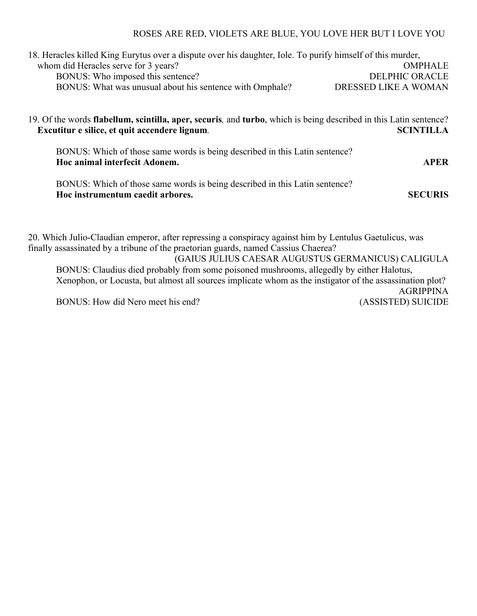#### ROSES ARE RED, VIOLETS ARE BLUE, YOU LOVE HER BUT I LOVE YOU

| 18. Heracles killed King Eurytus over a dispute over his daughter, Iole. To purify himself of this murder, |                       |
|------------------------------------------------------------------------------------------------------------|-----------------------|
| whom did Heracles serve for 3 years?                                                                       | <b>OMPHALE</b>        |
| BONUS: Who imposed this sentence?                                                                          | <b>DELPHIC ORACLE</b> |
| BONUS: What was unusual about his sentence with Omphale?                                                   | DRESSED LIKE A WOMAN  |

19. Of the words **flabellum, scintilla, aper, securis***,* and **turbo**, which is being described in this Latin sentence? **Excutitur e silice, et quit accendere lignum***.* **SCINTILLA**

BONUS: Which of those same words is being described in this Latin sentence? **Hoc animal interfecit Adonem. APER**

BONUS: Which of those same words is being described in this Latin sentence? **Hoc instrumentum caedit arbores. SECURIS**

20. Which Julio-Claudian emperor, after repressing a conspiracy against him by Lentulus Gaetulicus, was finally assassinated by a tribune of the praetorian guards, named Cassius Chaerea?

(GAIUS JULIUS CAESAR AUGUSTUS GERMANICUS) CALIGULA BONUS: Claudius died probably from some poisoned mushrooms, allegedly by either Halotus, Xenophon, or Locusta, but almost all sources implicate whom as the instigator of the assassination plot? AGRIPPINA

BONUS: How did Nero meet his end? (ASSISTED) SUICIDE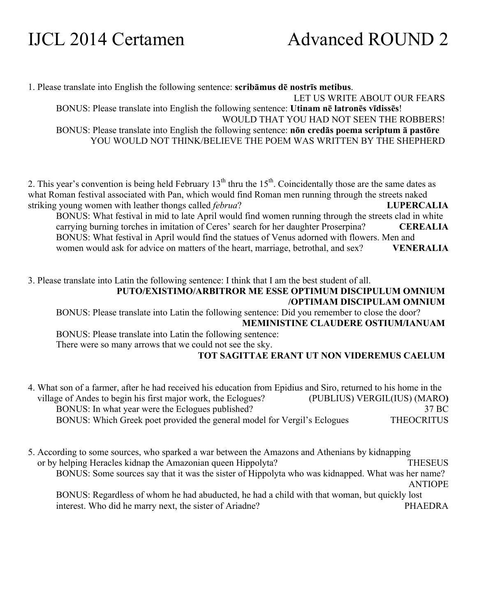1. Please translate into English the following sentence: **scribāmus dē nostrīs metibus**. LET US WRITE ABOUT OUR FEARS BONUS: Please translate into English the following sentence: **Utinam nē latronēs vīdissēs**! WOULD THAT YOU HAD NOT SEEN THE ROBBERS! BONUS: Please translate into English the following sentence: **nōn credās poema scriptum ā pastōre** YOU WOULD NOT THINK/BELIEVE THE POEM WAS WRITTEN BY THE SHEPHERD

2. This year's convention is being held February  $13<sup>th</sup>$  thru the  $15<sup>th</sup>$ . Coincidentally those are the same dates as what Roman festival associated with Pan, which would find Roman men running through the streets naked striking young women with leather thongs called *februa*? **LUPERCALIA** BONUS: What festival in mid to late April would find women running through the streets clad in white

carrying burning torches in imitation of Ceres' search for her daughter Proserpina? **CEREALIA** BONUS: What festival in April would find the statues of Venus adorned with flowers. Men and women would ask for advice on matters of the heart, marriage, betrothal, and sex? **VENERALIA**

3. Please translate into Latin the following sentence: I think that I am the best student of all. **PUTO/EXISTIMO/ARBITROR ME ESSE OPTIMUM DISCIPULUM OMNIUM /OPTIMAM DISCIPULAM OMNIUM**

BONUS: Please translate into Latin the following sentence: Did you remember to close the door? **MEMINISTINE CLAUDERE OSTIUM/IANUAM**

BONUS: Please translate into Latin the following sentence: There were so many arrows that we could not see the sky.

### **TOT SAGITTAE ERANT UT NON VIDEREMUS CAELUM**

- 4. What son of a farmer, after he had received his education from Epidius and Siro, returned to his home in the village of Andes to begin his first major work, the Eclogues? (PUBLIUS) VERGIL(IUS) (MARO**)** BONUS: In what year were the Eclogues published? 37 BC BONUS: Which Greek poet provided the general model for Vergil's Eclogues THEOCRITUS
- 5. According to some sources, who sparked a war between the Amazons and Athenians by kidnapping or by helping Heracles kidnap the Amazonian queen Hippolyta? THESEUS BONUS: Some sources say that it was the sister of Hippolyta who was kidnapped. What was her name? ANTIOPE BONUS: Regardless of whom he had abuducted, he had a child with that woman, but quickly lost interest. Who did he marry next, the sister of Ariadne? PHAEDRA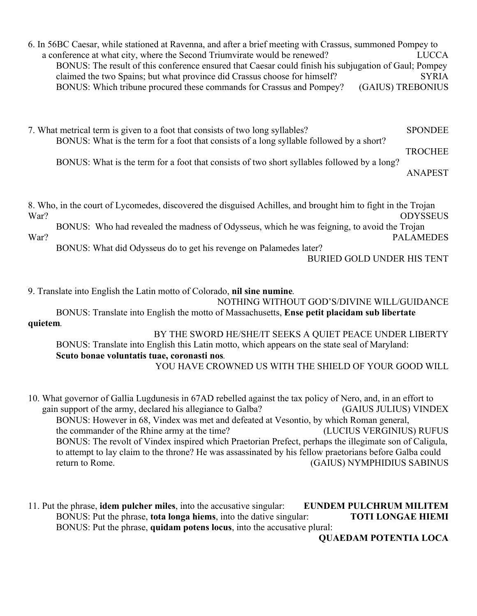6. In 56BC Caesar, while stationed at Ravenna, and after a brief meeting with Crassus, summoned Pompey to a conference at what city, where the Second Triumvirate would be renewed? LUCCA BONUS: The result of this conference ensured that Caesar could finish his subjugation of Gaul; Pompey claimed the two Spains; but what province did Crassus choose for himself? SYRIA BONUS: Which tribune procured these commands for Crassus and Pompey? (GAIUS) TREBONIUS

7. What metrical term is given to a foot that consists of two long syllables? SPONDEE BONUS: What is the term for a foot that consists of a long syllable followed by a short? TROCHEE BONUS: What is the term for a foot that consists of two short syllables followed by a long? ANAPEST

8. Who, in the court of Lycomedes, discovered the disguised Achilles, and brought him to fight in the Trojan War? ODYSSEUS

BONUS: Who had revealed the madness of Odysseus, which he was feigning, to avoid the Trojan War? PALAMEDES

BONUS: What did Odysseus do to get his revenge on Palamedes later?

BURIED GOLD UNDER HIS TENT

9. Translate into English the Latin motto of Colorado, **nil sine numine***.*

NOTHING WITHOUT GOD'S/DIVINE WILL/GUIDANCE BONUS: Translate into English the motto of Massachusetts, **Ense petit placidam sub libertate quietem***.*

BY THE SWORD HE/SHE/IT SEEKS A QUIET PEACE UNDER LIBERTY BONUS: Translate into English this Latin motto, which appears on the state seal of Maryland: **Scuto bonae voluntatis tuae, coronasti nos***.* YOU HAVE CROWNED US WITH THE SHIELD OF YOUR GOOD WILL

- 10. What governor of Gallia Lugdunesis in 67AD rebelled against the tax policy of Nero, and, in an effort to gain support of the army, declared his allegiance to Galba? (GAIUS JULIUS) VINDEX BONUS: However in 68, Vindex was met and defeated at Vesontio, by which Roman general, the commander of the Rhine army at the time? (LUCIUS VERGINIUS) RUFUS BONUS: The revolt of Vindex inspired which Praetorian Prefect, perhaps the illegimate son of Caligula, to attempt to lay claim to the throne? He was assassinated by his fellow praetorians before Galba could return to Rome. (GAIUS) NYMPHIDIUS SABINUS
- 11. Put the phrase, **idem pulcher miles**, into the accusative singular: **EUNDEM PULCHRUM MILITEM** BONUS: Put the phrase, **tota longa hiems**, into the dative singular: **TOTI LONGAE HIEMI** BONUS: Put the phrase, **quidam potens locus**, into the accusative plural:

**QUAEDAM POTENTIA LOCA**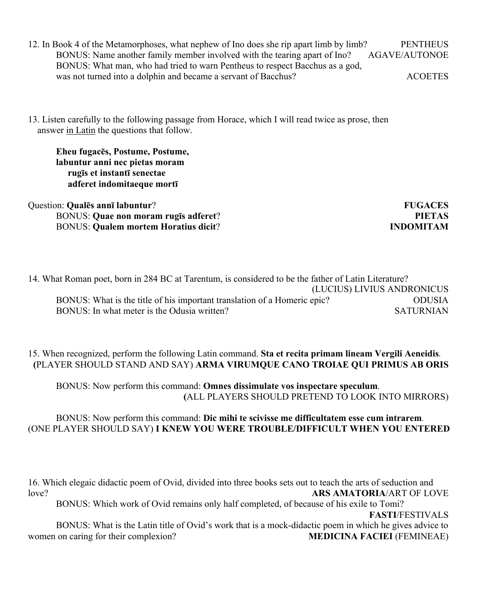- 12. In Book 4 of the Metamorphoses, what nephew of Ino does she rip apart limb by limb? PENTHEUS BONUS: Name another family member involved with the tearing apart of Ino? AGAVE/AUTONOE BONUS: What man, who had tried to warn Pentheus to respect Bacchus as a god, was not turned into a dolphin and became a servant of Bacchus? ACOETES
- 13. Listen carefully to the following passage from Horace, which I will read twice as prose, then answer in Latin the questions that follow.

**Eheu fugacēs, Postume, Postume, labuntur anni nec pietas moram rugīs et instantī senectae adferet indomitaeque mortī**

Question: **Qualēs annī labuntur**? **FUGACES** BONUS: **Quae non moram rugīs adferet**? **PIETAS** BONUS: **Qualem mortem Horatius dicit**? **INDOMITAM**

14. What Roman poet, born in 284 BC at Tarentum, is considered to be the father of Latin Literature? (LUCIUS) LIVIUS ANDRONICUS BONUS: What is the title of his important translation of a Homeric epic? ODUSIA BONUS: In what meter is the Odusia written? SATURNIAN

15. When recognized, perform the following Latin command. **Sta et recita primam lineam Vergili Aeneidis***.* **(**PLAYER SHOULD STAND AND SAY) **ARMA VIRUMQUE CANO TROIAE QUI PRIMUS AB ORIS**

BONUS: Now perform this command: **Omnes dissimulate vos inspectare speculum***.* **(**ALL PLAYERS SHOULD PRETEND TO LOOK INTO MIRRORS)

### BONUS: Now perform this command: **Dic mihi te scivisse me difficultatem esse cum intrarem***.* (ONE PLAYER SHOULD SAY) **I KNEW YOU WERE TROUBLE/DIFFICULT WHEN YOU ENTERED**

16. Which elegaic didactic poem of Ovid, divided into three books sets out to teach the arts of seduction and love? **ARS AMATORIA**/ART OF LOVE BONUS: Which work of Ovid remains only half completed, of because of his exile to Tomi? **FASTI**/FESTIVALS BONUS: What is the Latin title of Ovid's work that is a mock-didactic poem in which he gives advice to women on caring for their complexion? **MEDICINA FACIEI** (FEMINEAE)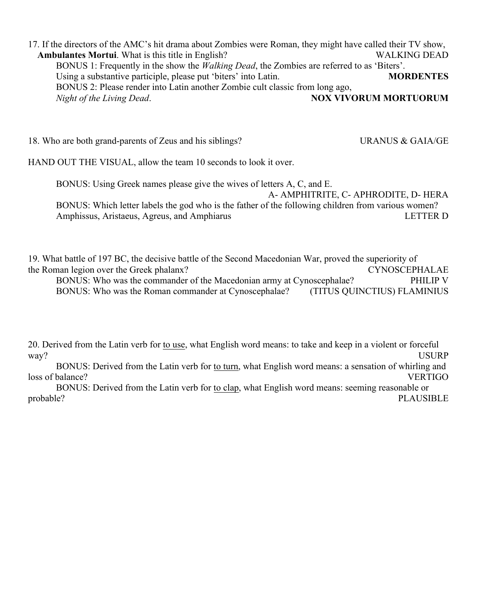17. If the directors of the AMC's hit drama about Zombies were Roman, they might have called their TV show, **Ambulantes Mortui**. What is this title in English? WALKING DEAD BONUS 1: Frequently in the show the *Walking Dead*, the Zombies are referred to as 'Biters'. Using a substantive participle, please put 'biters' into Latin. **MORDENTES** BONUS 2: Please render into Latin another Zombie cult classic from long ago, *Night of the Living Dead*. **NOX VIVORUM MORTUORUM**

18. Who are both grand-parents of Zeus and his siblings? URANUS & GAIA/GE

HAND OUT THE VISUAL, allow the team 10 seconds to look it over.

BONUS: Using Greek names please give the wives of letters A, C, and E. A- AMPHITRITE, C- APHRODITE, D- HERA BONUS: Which letter labels the god who is the father of the following children from various women? Amphissus, Aristaeus, Agreus, and Amphiarus LETTER D

19. What battle of 197 BC, the decisive battle of the Second Macedonian War, proved the superiority of the Roman legion over the Greek phalanx? CYNOSCEPHALAE BONUS: Who was the commander of the Macedonian army at Cynoscephalae? PHILIP V BONUS: Who was the Roman commander at Cynoscephalae? (TITUS QUINCTIUS) FLAMINIUS

20. Derived from the Latin verb for to use, what English word means: to take and keep in a violent or forceful way? USURP

BONUS: Derived from the Latin verb for to turn, what English word means: a sensation of whirling and loss of balance? VERTIGO

BONUS: Derived from the Latin verb for to clap, what English word means: seeming reasonable or probable? PLAUSIBLE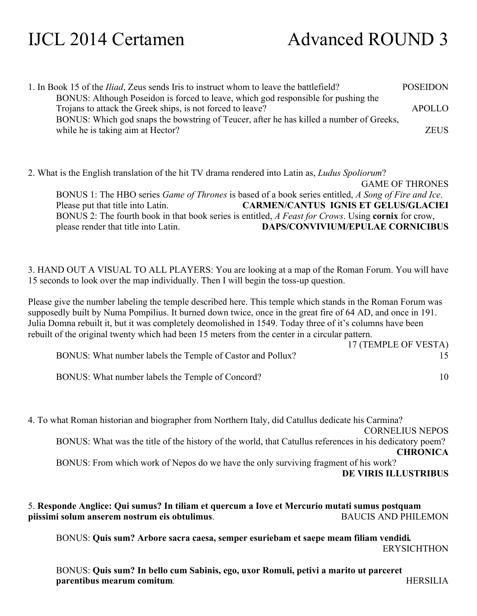## IJCL 2014 Certamen Advanced ROUND 3

| 1. In Book 15 of the <i>Iliad</i> , Zeus sends Iris to instruct whom to leave the battlefield? | <b>POSEIDON</b> |
|------------------------------------------------------------------------------------------------|-----------------|
| BONUS: Although Poseidon is forced to leave, which god responsible for pushing the             |                 |
| Trojans to attack the Greek ships, is not forced to leave?                                     | <b>APOLLO</b>   |
| BONUS: Which god snaps the bowstring of Teucer, after he has killed a number of Greeks,        |                 |
| while he is taking aim at Hector?                                                              | <b>ZEUS</b>     |
|                                                                                                |                 |

2. What is the English translation of the hit TV drama rendered into Latin as, *Ludus Spoliorum*?

GAME OF THRONES BONUS 1: The HBO series *Game of Thrones* is based of a book series entitled, *A Song of Fire and Ice*. Please put that title into Latin. **CARMEN/CANTUS IGNIS ET GELUS/GLACIEI** BONUS 2: The fourth book in that book series is entitled, *A Feast for Crows*. Using **cornix** for crow, please render that title into Latin. **DAPS/CONVIVIUM/EPULAE CORNICIBUS**

3. HAND OUT A VISUAL TO ALL PLAYERS: You are looking at a map of the Roman Forum. You will have 15 seconds to look over the map individually. Then I will begin the toss-up question.

Please give the number labeling the temple described here. This temple which stands in the Roman Forum was supposedly built by Numa Pompilius. It burned down twice, once in the great fire of 64 AD, and once in 191. Julia Domna rebuilt it, but it was completely deomolished in 1549. Today three of it's columns have been rebuilt of the original twenty which had been 15 meters from the center in a circular pattern.

|                                                            | 17 (TEMPLE OF VESTA) |
|------------------------------------------------------------|----------------------|
| BONUS: What number labels the Temple of Castor and Pollux? |                      |

BONUS: What number labels the Temple of Concord? 10

4. To what Roman historian and biographer from Northern Italy, did Catullus dedicate his Carmina? CORNELIUS NEPOS BONUS: What was the title of the history of the world, that Catullus references in his dedicatory poem? **CHRONICA** BONUS: From which work of Nepos do we have the only surviving fragment of his work? **DE VIRIS ILLUSTRIBUS**

### 5. **Responde Anglice: Qui sumus? In tiliam et quercum a Iove et Mercurio mutati sumus postquam piissimi solum anserem nostrum eis obtulimus**. BAUCIS AND PHILEMON

BONUS: **Quis sum? Arbore sacra caesa, semper esuriebam et saepe meam filiam vendidi***.* **ERYSICHTHON** 

BONUS: **Quis sum? In bello cum Sabinis, ego, uxor Romuli, petivi a marito ut parceret parentibus mearum comitum**. The extended of the extended of the extended of the extended of the extended of the extended of the extended of the extended of the extended of the extended of the extended of the extended of t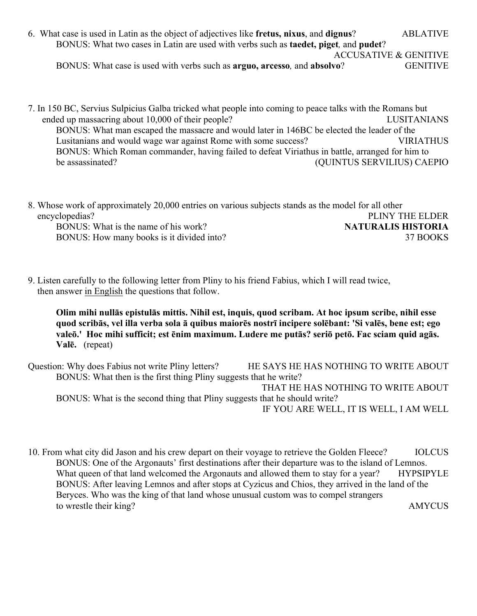- 6. What case is used in Latin as the object of adjectives like **fretus, nixus**, and **dignus**? ABLATIVE BONUS: What two cases in Latin are used with verbs such as **taedet, piget***,* and **pudet**? ACCUSATIVE & GENITIVE BONUS: What case is used with verbs such as **arguo, arcesso***,* and **absolvo**? GENITIVE
- 7. In 150 BC, Servius Sulpicius Galba tricked what people into coming to peace talks with the Romans but ended up massacring about 10,000 of their people? LUSITANIANS BONUS: What man escaped the massacre and would later in 146BC be elected the leader of the Lusitanians and would wage war against Rome with some success? VIRIATHUS BONUS: Which Roman commander, having failed to defeat Viriathus in battle, arranged for him to be assassinated? (QUINTUS SERVILIUS) CAEPIO
- 8. Whose work of approximately 20,000 entries on various subjects stands as the model for all other encyclopedias? PLINY THE ELDER BONUS: What is the name of his work? **NATURALIS HISTORIA** BONUS: How many books is it divided into? 37 BOOKS
- 9. Listen carefully to the following letter from Pliny to his friend Fabius, which I will read twice, then answer in English the questions that follow.

**Olim mihi nullās epistulās mittis. Nihil est, inquis, quod scribam. At hoc ipsum scribe, nihil esse quod scribās, vel illa verba sola ā quibus maiorēs nostrī incipere solēbant: 'Si valēs, bene est; ego valeō.' Hoc mihi sufficit; est ēnim maximum. Ludere me putās? seriō petō. Fac sciam quid agās. Valē.** (repeat)

- Question: Why does Fabius not write Pliny letters? HE SAYS HE HAS NOTHING TO WRITE ABOUT BONUS: What then is the first thing Pliny suggests that he write? THAT HE HAS NOTHING TO WRITE ABOUT BONUS: What is the second thing that Pliny suggests that he should write? IF YOU ARE WELL, IT IS WELL, I AM WELL
- 10. From what city did Jason and his crew depart on their voyage to retrieve the Golden Fleece? IOLCUS BONUS: One of the Argonauts' first destinations after their departure was to the island of Lemnos. What queen of that land welcomed the Argonauts and allowed them to stay for a year? HYPSIPYLE BONUS: After leaving Lemnos and after stops at Cyzicus and Chios, they arrived in the land of the Beryces. Who was the king of that land whose unusual custom was to compel strangers to wrestle their king? AMYCUS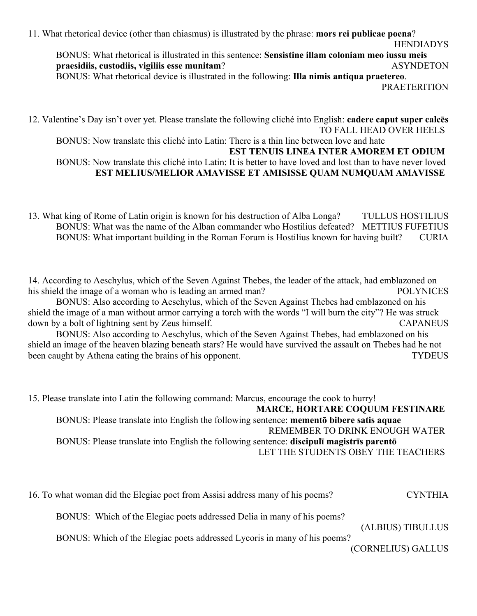11. What rhetorical device (other than chiasmus) is illustrated by the phrase: **mors rei publicae poena**?

**HENDIADYS** 

BONUS: What rhetorical is illustrated in this sentence: **Sensistine illam coloniam meo iussu meis praesidiis, custodiis, vigiliis esse munitam**? ASYNDETON BONUS: What rhetorical device is illustrated in the following: **Illa nimis antiqua praetereo**. PRAETERITION

12. Valentine's Day isn't over yet. Please translate the following cliché into English: **cadere caput super calcēs** TO FALL HEAD OVER HEELS

BONUS: Now translate this cliché into Latin: There is a thin line between love and hate **EST TENUIS LINEA INTER AMOREM ET ODIUM** BONUS: Now translate this cliché into Latin: It is better to have loved and lost than to have never loved **EST MELIUS/MELIOR AMAVISSE ET AMISISSE QUAM NUMQUAM AMAVISSE**

13. What king of Rome of Latin origin is known for his destruction of Alba Longa? TULLUS HOSTILIUS BONUS: What was the name of the Alban commander who Hostilius defeated? METTIUS FUFETIUS BONUS: What important building in the Roman Forum is Hostilius known for having built? CURIA

14. According to Aeschylus, which of the Seven Against Thebes, the leader of the attack, had emblazoned on his shield the image of a woman who is leading an armed man? POLYNICES

BONUS: Also according to Aeschylus, which of the Seven Against Thebes had emblazoned on his shield the image of a man without armor carrying a torch with the words "I will burn the city"? He was struck down by a bolt of lightning sent by Zeus himself. CAPANEUS

BONUS: Also according to Aeschylus, which of the Seven Against Thebes, had emblazoned on his shield an image of the heaven blazing beneath stars? He would have survived the assault on Thebes had he not been caught by Athena eating the brains of his opponent. TYDEUS

15. Please translate into Latin the following command: Marcus, encourage the cook to hurry!

**MARCE, HORTARE COQUUM FESTINARE** BONUS: Please translate into English the following sentence: **mementō bibere satis aquae**

REMEMBER TO DRINK ENOUGH WATER BONUS: Please translate into English the following sentence: **discipulī magistrīs parentō**

LET THE STUDENTS OBEY THE TEACHERS

16. To what woman did the Elegiac poet from Assisi address many of his poems? CYNTHIA

BONUS: Which of the Elegiac poets addressed Delia in many of his poems?

(ALBIUS) TIBULLUS

BONUS: Which of the Elegiac poets addressed Lycoris in many of his poems?

(CORNELIUS) GALLUS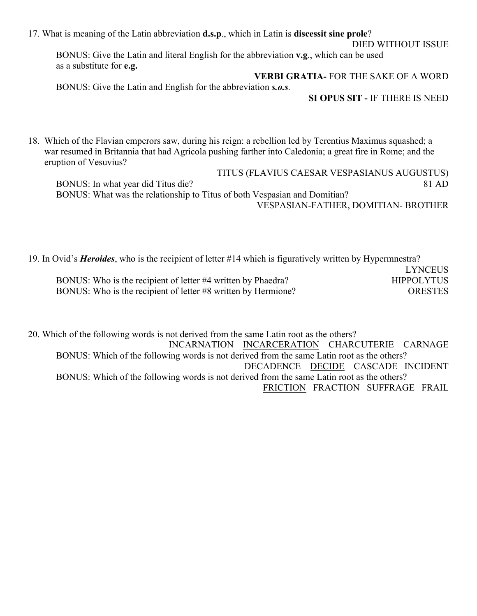17. What is meaning of the Latin abbreviation **d.s.p**., which in Latin is **discessit sine prole**?

DIED WITHOUT ISSUE

BONUS: Give the Latin and literal English for the abbreviation **v.g**., which can be used as a substitute for **e.g.**

**VERBI GRATIA***-* FOR THE SAKE OF A WORD

BONUS: Give the Latin and English for the abbreviation *s.o.s.*

**SI OPUS SIT -** IF THERE IS NEED

18. Which of the Flavian emperors saw, during his reign: a rebellion led by Terentius Maximus squashed; a war resumed in Britannia that had Agricola pushing farther into Caledonia; a great fire in Rome; and the eruption of Vesuvius?

TITUS (FLAVIUS CAESAR VESPASIANUS AUGUSTUS) BONUS: In what year did Titus die? 81 AD BONUS: What was the relationship to Titus of both Vespasian and Domitian? VESPASIAN-FATHER, DOMITIAN- BROTHER

19. In Ovid's *Heroides*, who is the recipient of letter #14 which is figuratively written by Hypermnestra? LYNCEUS BONUS: Who is the recipient of letter #4 written by Phaedra? HIPPOLYTUS BONUS: Who is the recipient of letter #8 written by Hermione? ORESTES

20. Which of the following words is not derived from the same Latin root as the others? INCARNATION INCARCERATION CHARCUTERIE CARNAGE BONUS: Which of the following words is not derived from the same Latin root as the others? DECADENCE DECIDE CASCADE INCIDENT BONUS: Which of the following words is not derived from the same Latin root as the others? FRICTION FRACTION SUFFRAGE FRAIL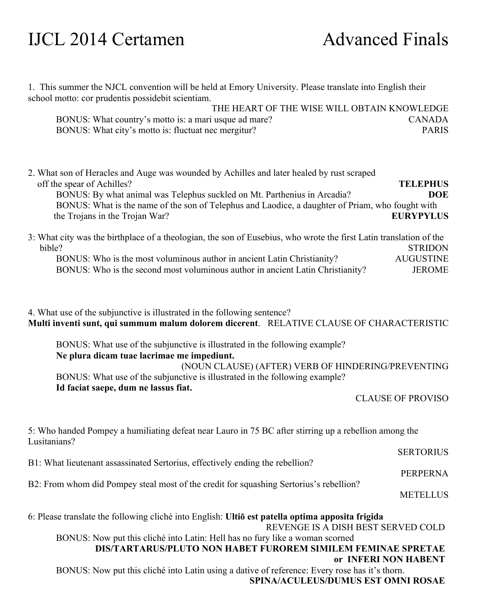# IJCL 2014 Certamen Advanced Finals

| 1. This summer the NJCL convention will be held at Emory University. Please translate into English their<br>school motto: cor prudentis possidebit scientiam.                                                                                       |                               |
|-----------------------------------------------------------------------------------------------------------------------------------------------------------------------------------------------------------------------------------------------------|-------------------------------|
| THE HEART OF THE WISE WILL OBTAIN KNOWLEDGE                                                                                                                                                                                                         |                               |
| BONUS: What country's motto is: a mari usque ad mare?                                                                                                                                                                                               | <b>CANADA</b>                 |
| BONUS: What city's motto is: fluctuat nec mergitur?                                                                                                                                                                                                 | <b>PARIS</b>                  |
| 2. What son of Heracles and Auge was wounded by Achilles and later healed by rust scraped<br>off the spear of Achilles?<br>BONUS: By what animal was Telephus suckled on Mt. Parthenius in Arcadia?                                                 | <b>TELEPHUS</b><br><b>DOE</b> |
| BONUS: What is the name of the son of Telephus and Laodice, a daughter of Priam, who fought with<br>the Trojans in the Trojan War?                                                                                                                  | <b>EURYPYLUS</b>              |
| 3: What city was the birthplace of a theologian, the son of Eusebius, who wrote the first Latin translation of the<br>bible?                                                                                                                        | <b>STRIDON</b>                |
| BONUS: Who is the most voluminous author in ancient Latin Christianity?                                                                                                                                                                             | <b>AUGUSTINE</b>              |
| BONUS: Who is the second most voluminous author in ancient Latin Christianity?                                                                                                                                                                      | <b>JEROME</b>                 |
| 4. What use of the subjunctive is illustrated in the following sentence?<br>Multi inventi sunt, qui summum malum dolorem dicerent. RELATIVE CLAUSE OF CHARACTERISTIC<br>BONUS: What use of the subjunctive is illustrated in the following example? |                               |
| Ne plura dicam tuae lacrimae me impediunt.<br>(NOUN CLAUSE) (AFTER) VERB OF HINDERING/PREVENTING                                                                                                                                                    |                               |
| BONUS: What use of the subjunctive is illustrated in the following example?<br>Id faciat saepe, dum ne lassus fiat.                                                                                                                                 |                               |
|                                                                                                                                                                                                                                                     | <b>CLAUSE OF PROVISO</b>      |
| 5: Who handed Pompey a humiliating defeat near Lauro in 75 BC after stirring up a rebellion among the<br>Lusitanians?                                                                                                                               |                               |
| B1: What lieutenant assassinated Sertorius, effectively ending the rebellion?                                                                                                                                                                       | <b>SERTORIUS</b>              |
| B2: From whom did Pompey steal most of the credit for squashing Sertorius's rebellion?                                                                                                                                                              | <b>PERPERNA</b>               |
|                                                                                                                                                                                                                                                     | <b>METELLUS</b>               |
| 6: Please translate the following cliché into English: Ultiō est patella optima apposita frigida<br>REVENGE IS A DISH BEST SERVED COLD                                                                                                              |                               |
| BONUS: Now put this cliché into Latin: Hell has no fury like a woman scorned<br>DIS/TARTARUS/PLUTO NON HABET FUROREM SIMILEM FEMINAE SPRETAE<br>or INFERI NON HABENT                                                                                |                               |
| BONUS: Now put this cliché into Latin using a dative of reference: Every rose has it's thorn.                                                                                                                                                       |                               |

**SPINA/ACULEUS/DUMUS EST OMNI ROSAE**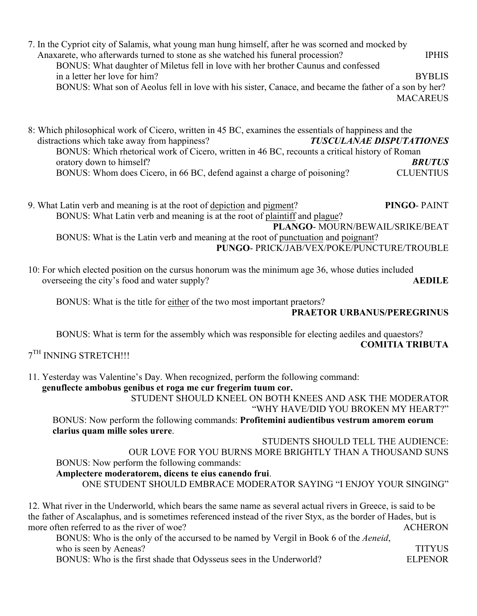- 7. In the Cypriot city of Salamis, what young man hung himself, after he was scorned and mocked by Anaxarete, who afterwards turned to stone as she watched his funeral procession? IPHIS BONUS: What daughter of Miletus fell in love with her brother Caunus and confessed in a letter her love for him? BYBLIS BONUS: What son of Aeolus fell in love with his sister, Canace, and became the father of a son by her? MACAREUS
- 8: Which philosophical work of Cicero, written in 45 BC, examines the essentials of happiness and the distractions which take away from happiness? *TUSCULANAE DISPUTATIONES* BONUS: Which rhetorical work of Cicero, written in 46 BC, recounts a critical history of Roman oratory down to himself? *BRUTUS* BONUS: Whom does Cicero, in 66 BC, defend against a charge of poisoning? CLUENTIUS
- 9. What Latin verb and meaning is at the root of depiction and pigment? **PINGO** PAINT BONUS: What Latin verb and meaning is at the root of plaintiff and plague? **PLANGO**- MOURN/BEWAIL/SRIKE/BEAT BONUS: What is the Latin verb and meaning at the root of punctuation and poignant? **PUNGO**- PRICK/JAB/VEX/POKE/PUNCTURE/TROUBLE
- 10: For which elected position on the cursus honorum was the minimum age 36, whose duties included overseeing the city's food and water supply? **AEDILE**

BONUS: What is the title for either of the two most important praetors?

### **PRAETOR URBANUS/PEREGRINUS**

BONUS: What is term for the assembly which was responsible for electing aediles and quaestors? **COMITIA TRIBUTA**

 $7<sup>TH</sup> INNING STRETCH!!!$ 

- 11. Yesterday was Valentine's Day. When recognized, perform the following command: **genuflecte ambobus genibus et roga me cur fregerim tuum cor.** STUDENT SHOULD KNEEL ON BOTH KNEES AND ASK THE MODERATOR
	- "WHY HAVE/DID YOU BROKEN MY HEART?"

BONUS: Now perform the following commands: **Profitemini audientibus vestrum amorem eorum clarius quam mille soles urere**.

STUDENTS SHOULD TELL THE AUDIENCE: OUR LOVE FOR YOU BURNS MORE BRIGHTLY THAN A THOUSAND SUNS BONUS: Now perform the following commands:

#### **Amplectere moderatorem, dicens te eius canendo frui**.

ONE STUDENT SHOULD EMBRACE MODERATOR SAYING "I ENJOY YOUR SINGING"

12. What river in the Underworld, which bears the same name as several actual rivers in Greece, is said to be the father of Ascalaphus, and is sometimes referenced instead of the river Styx, as the border of Hades, but is more often referred to as the river of woe? ACHERON

BONUS: Who is the only of the accursed to be named by Vergil in Book 6 of the *Aeneid*, who is seen by Aeneas? TITYUS BONUS: Who is the first shade that Odysseus sees in the Underworld? ELPENOR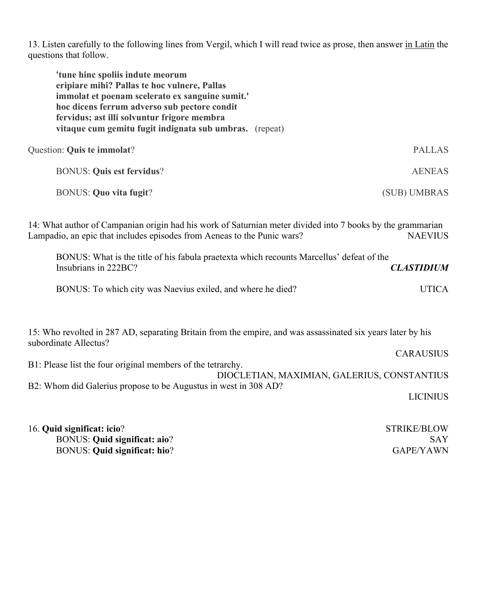13. Listen carefully to the following lines from Vergil, which I will read twice as prose, then answer in Latin the questions that follow.

| 'tune hinc spoliis indute meorum<br>eripiare mihi? Pallas te hoc vulnere, Pallas<br>immolat et poenam scelerato ex sanguine sumit.'<br>hoc dicens ferrum adverso sub pectore condit<br>fervidus; ast illi solvuntur frigore membra<br>vitaque cum gemitu fugit indignata sub umbras. (repeat)             |                                             |
|-----------------------------------------------------------------------------------------------------------------------------------------------------------------------------------------------------------------------------------------------------------------------------------------------------------|---------------------------------------------|
| Question: Quis te immolat?                                                                                                                                                                                                                                                                                | <b>PALLAS</b>                               |
| <b>BONUS: Quis est fervidus?</b>                                                                                                                                                                                                                                                                          | <b>AENEAS</b>                               |
| <b>BONUS: Quo vita fugit?</b>                                                                                                                                                                                                                                                                             | (SUB) UMBRAS                                |
| 14: What author of Campanian origin had his work of Saturnian meter divided into 7 books by the grammarian<br>Lampadio, an epic that includes episodes from Aeneas to the Punic wars?<br>BONUS: What is the title of his fabula praetexta which recounts Marcellus' defeat of the<br>Insubrians in 222BC? | <b>NAEVIUS</b><br><b>CLASTIDIUM</b>         |
| BONUS: To which city was Naevius exiled, and where he died?                                                                                                                                                                                                                                               | <b>UTICA</b>                                |
|                                                                                                                                                                                                                                                                                                           |                                             |
| 15: Who revolted in 287 AD, separating Britain from the empire, and was assassinated six years later by his<br>subordinate Allectus?                                                                                                                                                                      |                                             |
| B1: Please list the four original members of the tetrarchy.                                                                                                                                                                                                                                               | <b>CARAUSIUS</b>                            |
|                                                                                                                                                                                                                                                                                                           | DIOCLETIAN, MAXIMIAN, GALERIUS, CONSTANTIUS |
| B2: Whom did Galerius propose to be Augustus in west in 308 AD?                                                                                                                                                                                                                                           | <b>LICINIUS</b>                             |
| 16. Quid significat: icio?                                                                                                                                                                                                                                                                                | <b>STRIKE/BLOW</b>                          |
| <b>BONUS: Quid significat: aio?</b>                                                                                                                                                                                                                                                                       | <b>SAY</b>                                  |

BONUS: **Quid significat: hio**? GAPE/YAWN